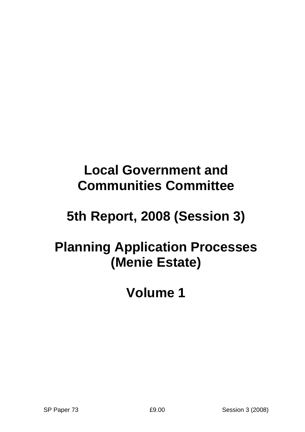# **5th Report, 2008 (Session 3)**

## **Planning Application Processes (Menie Estate)**

**Volume 1**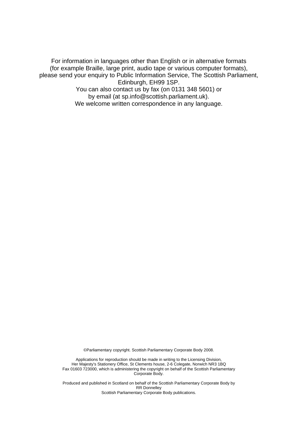For information in languages other than English or in alternative formats (for example Braille, large print, audio tape or various computer formats), please send your enquiry to Public Information Service, The Scottish Parliament, Edinburgh, EH99 1SP. You can also contact us by fax (on 0131 348 5601) or by email (at sp.info@scottish.parliament.uk).

We welcome written correspondence in any language.

©Parliamentary copyright. Scottish Parliamentary Corporate Body 2008.

Applications for reproduction should be made in writing to the Licensing Division, Her Majesty's Stationery Office, St Clements house, 2-6 Colegate, Norwich NR3 1BQ Fax 01603 723000, which is administering the copyright on behalf of the Scottish Parliamentary Corporate Body.

Produced and published in Scotland on behalf of the Scottish Parliamentary Corporate Body by RR Donnelley Scottish Parliamentary Corporate Body publications.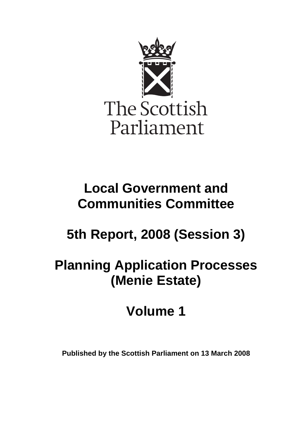

# **5th Report, 2008 (Session 3)**

## **Planning Application Processes (Menie Estate)**

# **Volume 1**

**Published by the Scottish Parliament on 13 March 2008**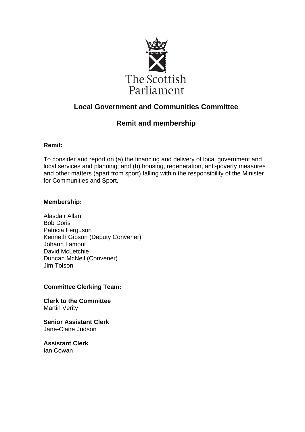

## **Remit and membership**

## **Remit:**

To consider and report on (a) the financing and delivery of local government and local services and planning; and (b) housing, regeneration, anti-poverty measures and other matters (apart from sport) falling within the responsibility of the Minister for Communities and Sport.

## **Membership:**

Alasdair Allan Bob Doris Patricia Ferguson Kenneth Gibson (Deputy Convener) Johann Lamont David McLetchie Duncan McNeil (Convener) Jim Tolson

## **Committee Clerking Team:**

**Clerk to the Committee** Martin Verity

**Senior Assistant Clerk** Jane-Claire Judson

**Assistant Clerk** Ian Cowan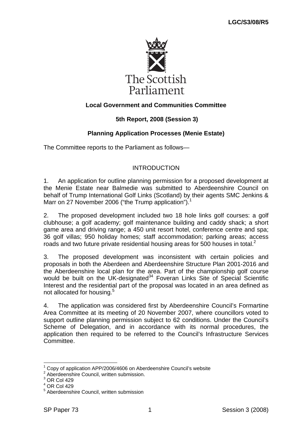

## **5th Report, 2008 (Session 3)**

## **Planning Application Processes (Menie Estate)**

The Committee reports to the Parliament as follows—

#### INTRODUCTION

1. An application for outline planning permission for a proposed development at the Menie Estate near Balmedie was submitted to Aberdeenshire Council on behalf of Trump International Golf Links (Scotland) by their agents SMC Jenkins & Marr on 27 November 2006 ("the Trump application").<sup>1</sup>

2. The proposed development included two 18 hole links golf courses: a golf clubhouse; a golf academy; golf maintenance building and caddy shack; a short game area and driving range; a 450 unit resort hotel, conference centre and spa; 36 golf villas; 950 holiday homes; staff accommodation; parking areas; access roads and two future private residential housing areas for 500 houses in total. $^2$ 

3. The proposed development was inconsistent with certain policies and proposals in both the Aberdeen and Aberdeenshire Structure Plan 2001-2016 and the Aberdeenshire local plan for the area. Part of the championship golf course would be built on the UK-designated $34$  Foveran Links Site of Special Scientific Interest and the residential part of the proposal was located in an area defined as not allocated for housing.<sup>5</sup>

4. The application was considered first by Aberdeenshire Council's Formartine Area Committee at its meeting of 20 November 2007, where councillors voted to support outline planning permission subject to 62 conditions. Under the Council's Scheme of Delegation, and in accordance with its normal procedures, the application then required to be referred to the Council's Infrastructure Services **Committee.** 

<sup>1</sup> Copy of application APP/2006/4606 on Aberdeenshire Council's website

<sup>&</sup>lt;sup>2</sup> Aberdeenshire Council, written submission.

 $3$  OR Col 429

<sup>4</sup> OR Col 429

<sup>&</sup>lt;sup>5</sup> Aberdeenshire Council, written submission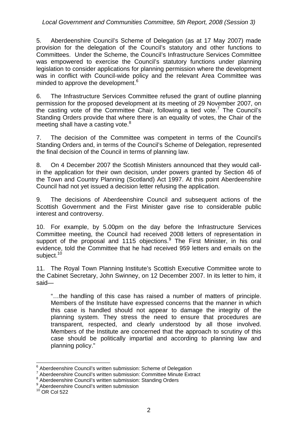#### *Local Government and Communities Committee, 5th Report, 2008 (Session 3)*

5. Aberdeenshire Council's Scheme of Delegation (as at 17 May 2007) made provision for the delegation of the Council's statutory and other functions to Committees. Under the Scheme, the Council's Infrastructure Services Committee was empowered to exercise the Council's statutory functions under planning legislation to consider applications for planning permission where the development was in conflict with Council-wide policy and the relevant Area Committee was minded to approve the development.<sup>6</sup>

6. The Infrastructure Services Committee refused the grant of outline planning permission for the proposed development at its meeting of 29 November 2007, on the casting vote of the Committee Chair, following a tied vote.<sup>7</sup> The Council's Standing Orders provide that where there is an equality of votes, the Chair of the meeting shall have a casting vote.<sup>8</sup>

7. The decision of the Committee was competent in terms of the Council's Standing Orders and, in terms of the Council's Scheme of Delegation, represented the final decision of the Council in terms of planning law.

8. On 4 December 2007 the Scottish Ministers announced that they would callin the application for their own decision, under powers granted by Section 46 of the Town and Country Planning (Scotland) Act 1997. At this point Aberdeenshire Council had not yet issued a decision letter refusing the application.

9. The decisions of Aberdeenshire Council and subsequent actions of the Scottish Government and the First Minister gave rise to considerable public interest and controversy.

10. For example, by 5.00pm on the day before the Infrastructure Services Committee meeting, the Council had received 2008 letters of representation in support of the proposal and 1115 objections.<sup>9</sup> The First Minister, in his oral evidence, told the Committee that he had received 959 letters and emails on the subject.<sup>10</sup>

11. The Royal Town Planning Institute's Scottish Executive Committee wrote to the Cabinet Secretary, John Swinney, on 12 December 2007. In its letter to him, it said—

"…the handling of this case has raised a number of matters of principle. Members of the Institute have expressed concerns that the manner in which this case is handled should not appear to damage the integrity of the planning system. They stress the need to ensure that procedures are transparent, respected, and clearly understood by all those involved. Members of the Institute are concerned that the approach to scrutiny of this case should be politically impartial and according to planning law and planning policy."

<sup>&</sup>lt;sup>6</sup> Aberdeenshire Council's written submission: Scheme of Delegation 7<br>7 Aberdeenshire Council's written submission: Committee Minute Fut

Aberdeenshire Council's written submission: Committee Minute Extract

<sup>&</sup>lt;sup>8</sup> Aberdeenshire Council's written submission: Standing Orders

<sup>&</sup>lt;sup>9</sup> Aberdeenshire Council's written submission

 $10$  OR Col 522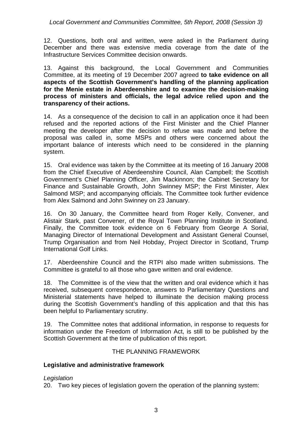*Local Government and Communities Committee, 5th Report, 2008 (Session 3)* 

12. Questions, both oral and written, were asked in the Parliament during December and there was extensive media coverage from the date of the Infrastructure Services Committee decision onwards.

13. Against this background, the Local Government and Communities Committee, at its meeting of 19 December 2007 agreed **to take evidence on all aspects of the Scottish Government's handling of the planning application for the Menie estate in Aberdeenshire and to examine the decision-making process of ministers and officials, the legal advice relied upon and the transparency of their actions.** 

14. As a consequence of the decision to call in an application once it had been refused and the reported actions of the First Minister and the Chief Planner meeting the developer after the decision to refuse was made and before the proposal was called in, some MSPs and others were concerned about the important balance of interests which need to be considered in the planning system.

15. Oral evidence was taken by the Committee at its meeting of 16 January 2008 from the Chief Executive of Aberdeenshire Council, Alan Campbell; the Scottish Government's Chief Planning Officer, Jim Mackinnon; the Cabinet Secretary for Finance and Sustainable Growth, John Swinney MSP; the First Minister, Alex Salmond MSP; and accompanying officials. The Committee took further evidence from Alex Salmond and John Swinney on 23 January.

16. On 30 January, the Committee heard from Roger Kelly, Convener, and Alistair Stark, past Convener, of the Royal Town Planning Institute in Scotland. Finally, the Committee took evidence on 6 February from George A Sorial, Managing Director of International Development and Assistant General Counsel, Trump Organisation and from Neil Hobday, Project Director in Scotland, Trump International Golf Links.

17. Aberdeenshire Council and the RTPI also made written submissions. The Committee is grateful to all those who gave written and oral evidence.

18. The Committee is of the view that the written and oral evidence which it has received, subsequent correspondence, answers to Parliamentary Questions and Ministerial statements have helped to illuminate the decision making process during the Scottish Government's handling of this application and that this has been helpful to Parliamentary scrutiny.

19. The Committee notes that additional information, in response to requests for information under the Freedom of Information Act, is still to be published by the Scottish Government at the time of publication of this report.

#### THE PLANNING FRAMEWORK

#### **Legislative and administrative framework**

#### *Legislation*

20. Two key pieces of legislation govern the operation of the planning system: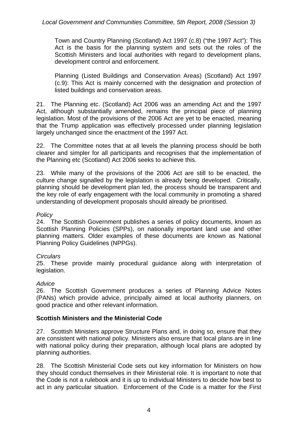Town and Country Planning (Scotland) Act 1997 (c.8) ("the 1997 Act"): This Act is the basis for the planning system and sets out the roles of the Scottish Ministers and local authorities with regard to development plans, development control and enforcement.

Planning (Listed Buildings and Conservation Areas) (Scotland) Act 1997 (c.9): This Act is mainly concerned with the designation and protection of listed buildings and conservation areas.

21. The Planning etc. (Scotland) Act 2006 was an amending Act and the 1997 Act, although substantially amended, remains the principal piece of planning legislation. Most of the provisions of the 2006 Act are yet to be enacted, meaning that the Trump application was effectively processed under planning legislation largely unchanged since the enactment of the 1997 Act.

22. The Committee notes that at all levels the planning process should be both clearer and simpler for all participants and recognises that the implementation of the Planning etc (Scotland) Act 2006 seeks to achieve this.

23. While many of the provisions of the 2006 Act are still to be enacted, the culture change signalled by the legislation is already being developed. Critically, planning should be development plan led, the process should be transparent and the key role of early engagement with the local community in promoting a shared understanding of development proposals should already be prioritised.

#### *Policy*

24. The Scottish Government publishes a series of policy documents, known as Scottish Planning Policies (SPPs), on nationally important land use and other planning matters. Older examples of these documents are known as National Planning Policy Guidelines (NPPGs).

## *Circulars*

25. These provide mainly procedural guidance along with interpretation of legislation.

## *Advice*

26. The Scottish Government produces a series of Planning Advice Notes (PANs) which provide advice, principally aimed at local authority planners, on good practice and other relevant information.

## **Scottish Ministers and the Ministerial Code**

27. Scottish Ministers approve Structure Plans and, in doing so, ensure that they are consistent with national policy. Ministers also ensure that local plans are in line with national policy during their preparation, although local plans are adopted by planning authorities.

28. The Scottish Ministerial Code sets out key information for Ministers on how they should conduct themselves in their Ministerial role. It is important to note that the Code is not a rulebook and it is up to individual Ministers to decide how best to act in any particular situation. Enforcement of the Code is a matter for the First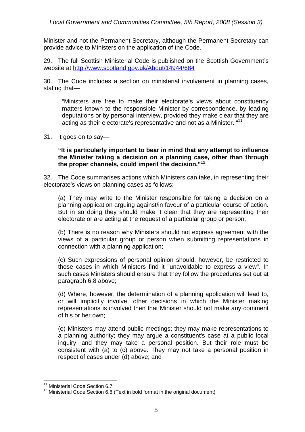Minister and not the Permanent Secretary, although the Permanent Secretary can provide advice to Ministers on the application of the Code.

29. The full Scottish Ministerial Code is published on the Scottish Government's website at http://www.scotland.gov.uk/About/14944/684

30. The Code includes a section on ministerial involvement in planning cases, stating that—

"Ministers are free to make their electorate's views about constituency matters known to the responsible Minister by correspondence, by leading deputations or by personal interview, provided they make clear that they are acting as their electorate's representative and not as a Minister. "<sup>11</sup>

31. It goes on to say—

**"It is particularly important to bear in mind that any attempt to influence the Minister taking a decision on a planning case, other than through the proper channels, could imperil the decision."12**

32. The Code summarises actions which Ministers can take, in representing their electorate's views on planning cases as follows:

(a) They may write to the Minister responsible for taking a decision on a planning application arguing against/in favour of a particular course of action. But in so doing they should make it clear that they are representing their electorate or are acting at the request of a particular group or person;

(b) There is no reason why Ministers should not express agreement with the views of a particular group or person when submitting representations in connection with a planning application;

(c) Such expressions of personal opinion should, however, be restricted to those cases in which Ministers find it "unavoidable to express a view". In such cases Ministers should ensure that they follow the procedures set out at paragraph 6.8 above;

(d) Where, however, the determination of a planning application will lead to, or will implicitly involve, other decisions in which the Minister making representations is involved then that Minister should not make any comment of his or her own;

(e) Ministers may attend public meetings; they may make representations to a planning authority; they may argue a constituent's case at a public local inquiry; and they may take a personal position. But their role must be consistent with (a) to (c) above. They may not take a personal position in respect of cases under (d) above; and

<sup>1</sup> <sup>11</sup> Ministerial Code Section 6.7

<sup>&</sup>lt;sup>12</sup> Ministerial Code Section 6.8 (Text in bold format in the original document)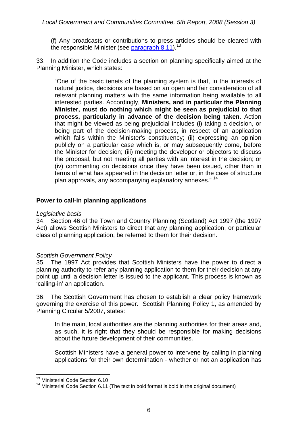(f) Any broadcasts or contributions to press articles should be cleared with the responsible Minister (see paragraph  $8.11$ ).<sup>13</sup>

33. In addition the Code includes a section on planning specifically aimed at the Planning Minister, which states:

"One of the basic tenets of the planning system is that, in the interests of natural justice, decisions are based on an open and fair consideration of all relevant planning matters with the same information being available to all interested parties. Accordingly, **Ministers, and in particular the Planning Minister, must do nothing which might be seen as prejudicial to that process, particularly in advance of the decision being taken**. Action that might be viewed as being prejudicial includes (i) taking a decision, or being part of the decision-making process, in respect of an application which falls within the Minister's constituency; (ii) expressing an opinion publicly on a particular case which is, or may subsequently come, before the Minister for decision; (iii) meeting the developer or objectors to discuss the proposal, but not meeting all parties with an interest in the decision; or (iv) commenting on decisions once they have been issued, other than in terms of what has appeared in the decision letter or, in the case of structure plan approvals, any accompanying explanatory annexes."<sup>14</sup>

## **Power to call-in planning applications**

#### *Legislative basis*

34. Section 46 of the Town and Country Planning (Scotland) Act 1997 (the 1997 Act) allows Scottish Ministers to direct that any planning application, or particular class of planning application, be referred to them for their decision.

## *Scottish Government Policy*

35. The 1997 Act provides that Scottish Ministers have the power to direct a planning authority to refer any planning application to them for their decision at any point up until a decision letter is issued to the applicant. This process is known as 'calling-in' an application.

36. The Scottish Government has chosen to establish a clear policy framework governing the exercise of this power. Scottish Planning Policy 1, as amended by Planning Circular 5/2007, states:

In the main, local authorities are the planning authorities for their areas and, as such, it is right that they should be responsible for making decisions about the future development of their communities.

Scottish Ministers have a general power to intervene by calling in planning applications for their own determination - whether or not an application has

<sup>1</sup> <sup>13</sup> Ministerial Code Section 6.10

<sup>&</sup>lt;sup>14</sup> Ministerial Code Section 6.11 (The text in bold format is bold in the original document)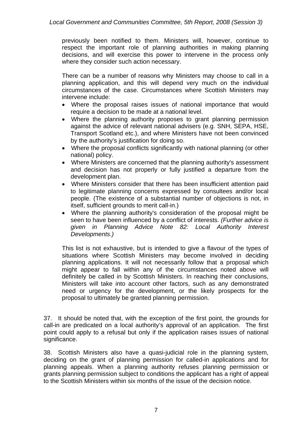previously been notified to them. Ministers will, however, continue to respect the important role of planning authorities in making planning decisions, and will exercise this power to intervene in the process only where they consider such action necessary.

There can be a number of reasons why Ministers may choose to call in a planning application, and this will depend very much on the individual circumstances of the case. Circumstances where Scottish Ministers may intervene include:

- Where the proposal raises issues of national importance that would require a decision to be made at a national level.
- Where the planning authority proposes to grant planning permission against the advice of relevant national advisers (e.g. SNH, SEPA, HSE, Transport Scotland etc.), and where Ministers have not been convinced by the authority's justification for doing so.
- Where the proposal conflicts significantly with national planning (or other national) policy.
- Where Ministers are concerned that the planning authority's assessment and decision has not properly or fully justified a departure from the development plan.
- Where Ministers consider that there has been insufficient attention paid to legitimate planning concerns expressed by consultees and/or local people. (The existence of a substantial number of objections is not, in itself, sufficient grounds to merit call-in.)
- Where the planning authority's consideration of the proposal might be seen to have been influenced by a conflict of interests. *(Further advice is given in Planning Advice Note 82: Local Authority Interest Developments.)*

This list is not exhaustive, but is intended to give a flavour of the types of situations where Scottish Ministers may become involved in deciding planning applications. It will not necessarily follow that a proposal which might appear to fall within any of the circumstances noted above will definitely be called in by Scottish Ministers. In reaching their conclusions, Ministers will take into account other factors, such as any demonstrated need or urgency for the development, or the likely prospects for the proposal to ultimately be granted planning permission.

37. It should be noted that, with the exception of the first point, the grounds for call-in are predicated on a local authority's approval of an application. The first point could apply to a refusal but only if the application raises issues of national significance.

38. Scottish Ministers also have a quasi-judicial role in the planning system, deciding on the grant of planning permission for called-in applications and for planning appeals. When a planning authority refuses planning permission or grants planning permission subject to conditions the applicant has a right of appeal to the Scottish Ministers within six months of the issue of the decision notice.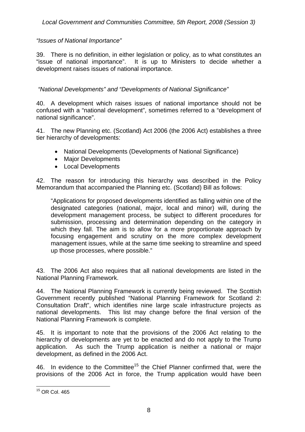## *"Issues of National Importance"*

39. There is no definition, in either legislation or policy, as to what constitutes an "issue of national importance". It is up to Ministers to decide whether a development raises issues of national importance.

 *"National Developments" and "Developments of National Significance"* 

40. A development which raises issues of national importance should not be confused with a "national development", sometimes referred to a "development of national significance".

41. The new Planning etc. (Scotland) Act 2006 (the 2006 Act) establishes a three tier hierarchy of developments:

- National Developments (Developments of National Significance)
- Major Developments
- Local Developments

42. The reason for introducing this hierarchy was described in the Policy Memorandum that accompanied the Planning etc. (Scotland) Bill as follows:

"Applications for proposed developments identified as falling within one of the designated categories (national, major, local and minor) will, during the development management process, be subject to different procedures for submission, processing and determination depending on the category in which they fall. The aim is to allow for a more proportionate approach by focusing engagement and scrutiny on the more complex development management issues, while at the same time seeking to streamline and speed up those processes, where possible."

43. The 2006 Act also requires that all national developments are listed in the National Planning Framework.

44. The National Planning Framework is currently being reviewed. The Scottish Government recently published "National Planning Framework for Scotland 2: Consultation Draft", which identifies nine large scale infrastructure projects as national developments. This list may change before the final version of the National Planning Framework is complete.

45. It is important to note that the provisions of the 2006 Act relating to the hierarchy of developments are yet to be enacted and do not apply to the Trump application. As such the Trump application is neither a national or major development, as defined in the 2006 Act.

46. In evidence to the Committee<sup>15</sup> the Chief Planner confirmed that, were the provisions of the 2006 Act in force, the Trump application would have been

<sup>1</sup>  $15$  OR Col. 465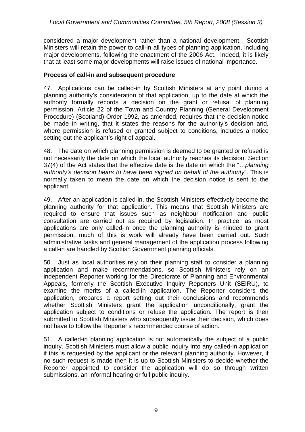considered a major development rather than a national development. Scottish Ministers will retain the power to call-in all types of planning application, including major developments, following the enactment of the 2006 Act. Indeed, it is likely that at least some major developments will raise issues of national importance.

## **Process of call-in and subsequent procedure**

47. Applications can be called-in by Scottish Ministers at any point during a planning authority's consideration of that application, up to the date at which the authority formally records a decision on the grant or refusal of planning permission. Article 22 of the Town and Country Planning (General Development Procedure) (Scotland) Order 1992, as amended, requires that the decision notice be made in writing, that it states the reasons for the authority's decision and, where permission is refused or granted subject to conditions, includes a notice setting out the applicant's right of appeal.

48. The date on which planning permission is deemed to be granted or refused is not necessarily the date on which the local authority reaches its decision. Section 37(4) of the Act states that the effective date is the date on which the "…*planning authority's decision bears to have been signed on behalf of the authority*". This is normally taken to mean the date on which the decision notice is sent to the applicant.

49. After an application is called-in, the Scottish Ministers effectively become the planning authority for that application. This means that Scottish Ministers are required to ensure that issues such as neighbour notification and public consultation are carried out as required by legislation. In practice, as most applications are only called-in once the planning authority is minded to grant permission, much of this is work will already have been carried out. Such administrative tasks and general management of the application process following a call-in are handled by Scottish Government planning officials.

50. Just as local authorities rely on their planning staff to consider a planning application and make recommendations, so Scottish Ministers rely on an independent Reporter working for the Directorate of Planning and Environmental Appeals, formerly the Scottish Executive Inquiry Reporters Unit (SEIRU), to examine the merits of a called-in application. The Reporter considers the application, prepares a report setting out their conclusions and recommends whether Scottish Ministers grant the application unconditionally, grant the application subject to conditions or refuse the application. The report is then submitted to Scottish Ministers who subsequently issue their decision, which does not have to follow the Reporter's recommended course of action.

51. A called-in planning application is not automatically the subject of a public inquiry. Scottish Ministers must allow a public inquiry into any called-in application if this is requested by the applicant or the relevant planning authority. However, if no such request is made then it is up to Scottish Ministers to decide whether the Reporter appointed to consider the application will do so through written submissions, an informal hearing or full public inquiry.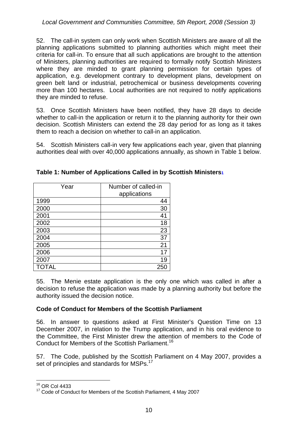52. The call-in system can only work when Scottish Ministers are aware of all the planning applications submitted to planning authorities which might meet their criteria for call-in. To ensure that all such applications are brought to the attention of Ministers, planning authorities are required to formally notify Scottish Ministers where they are minded to grant planning permission for certain types of application, e.g. development contrary to development plans, development on green belt land or industrial, petrochemical or business developments covering more than 100 hectares. Local authorities are not required to notify applications they are minded to refuse.

53. Once Scottish Ministers have been notified, they have 28 days to decide whether to call-in the application or return it to the planning authority for their own decision. Scottish Ministers can extend the 28 day period for as long as it takes them to reach a decision on whether to call-in an application.

54. Scottish Ministers call-in very few applications each year, given that planning authorities deal with over 40,000 applications annually, as shown in Table 1 below.

| Year         | Number of called-in<br>applications |
|--------------|-------------------------------------|
| 1999         | 44                                  |
| 2000         | 30                                  |
| 2001         | 41                                  |
| 2002         | 18                                  |
| 2003         | 23                                  |
| 2004         | 37                                  |
| 2005         | 21                                  |
| 2006         | 17                                  |
| 2007         | 19                                  |
| <b>TOTAL</b> | 25                                  |

| Table 1: Number of Applications Called in by Scottish Ministers1 |  |  |
|------------------------------------------------------------------|--|--|
|                                                                  |  |  |

55. The Menie estate application is the only one which was called in after a decision to refuse the application was made by a planning authority but before the authority issued the decision notice.

## **Code of Conduct for Members of the Scottish Parliament**

56. In answer to questions asked at First Minister's Question Time on 13 December 2007, in relation to the Trump application, and in his oral evidence to the Committee, the First Minister drew the attention of members to the Code of Conduct for Members of the Scottish Parliament.<sup>16</sup>

57. The Code, published by the Scottish Parliament on 4 May 2007, provides a set of principles and standards for MSPs.<sup>17</sup>

<sup>1</sup> 16 OR Col 4433

<sup>&</sup>lt;sup>17</sup> Code of Conduct for Members of the Scottish Parliament, 4 May 2007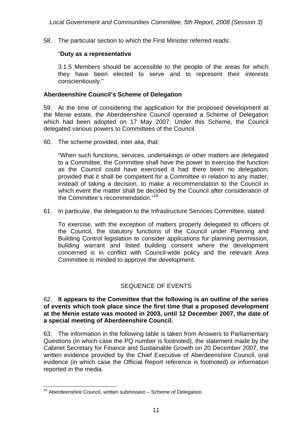58. The particular section to which the First Minister referred reads:

#### "**Duty as a representative**

3.1.5 Members should be accessible to the people of the areas for which they have been elected to serve and to represent their interests conscientiously."

#### **Aberdeenshire Council's Scheme of Delegation**

59. At the time of considering the application for the proposed development at the Menie estate, the Aberdeenshire Council operated a Scheme of Delegation which had been adopted on 17 May 2007. Under this Scheme, the Council delegated various powers to Committees of the Council.

60. The scheme provided, inter alia, that:

"When such functions, services, undertakings or other matters are delegated to a Committee, the Committee shall have the power to exercise the function as the Council could have exercised it had there been no delegation; provided that it shall be competent for a Committee in relation to any matter, instead of taking a decision, to make a recommendation to the Council in which event the matter shall be decided by the Council after consideration of the Committee's recommendation."<sup>18</sup>

61. In particular, the delegation to the Infrastructure Services Committee, stated:

To exercise, with the exception of matters properly delegated to officers of the Council, the statutory functions of the Council under Planning and Building Control legislation to consider applications for planning permission, building warrant and listed building consent where the development concerned is in conflict with Council-wide policy and the relevant Area Committee is minded to approve the development.

## SEQUENCE OF EVENTS

#### 62. **It appears to the Committee that the following is an outline of the series of events which took place since the first time that a proposed development at the Menie estate was mooted in 2003, until 12 December 2007, the date of a special meeting of Aberdeenshire Council.**

63. The information in the following table is taken from Answers to Parliamentary Questions (in which case the PQ number is footnoted), the statement made by the Cabinet Secretary for Finance and Sustainable Growth on 20 December 2007, the written evidence provided by the Chief Executive of Aberdeenshire Council, oral evidence (in which case the Official Report reference is footnoted) or information reported in the media.

 $18$  Aberdeenshire Council, written submission  $-$  Scheme of Delegation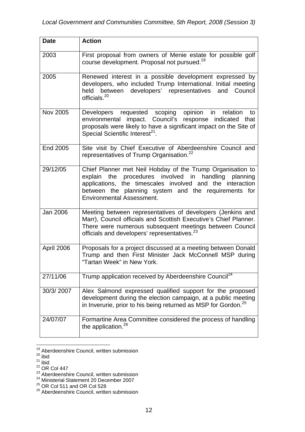| <b>Date</b>     | <b>Action</b>                                                                                                                                                                                                                                                               |
|-----------------|-----------------------------------------------------------------------------------------------------------------------------------------------------------------------------------------------------------------------------------------------------------------------------|
| 2003            | First proposal from owners of Menie estate for possible golf<br>course development. Proposal not pursued. <sup>19</sup>                                                                                                                                                     |
| 2005            | Renewed interest in a possible development expressed by<br>developers, who included Trump International. Initial meeting<br>held between developers' representatives and Council<br>officials. <sup>20</sup>                                                                |
| Nov 2005        | Developers requested scoping opinion in relation<br>to<br>environmental impact. Council's response indicated<br>that<br>proposals were likely to have a significant impact on the Site of<br>Special Scientific Interest <sup>21</sup> .                                    |
| <b>End 2005</b> | Site visit by Chief Executive of Aberdeenshire Council and<br>representatives of Trump Organisation. <sup>22</sup>                                                                                                                                                          |
| 29/12/05        | Chief Planner met Neil Hobday of the Trump Organisation to<br>explain the procedures involved in handling planning<br>applications, the timescales involved and the interaction<br>between the planning system and the requirements for<br><b>Environmental Assessment.</b> |
| Jan 2006        | Meeting between representatives of developers (Jenkins and<br>Marr), Council officials and Scottish Executive's Chief Planner.<br>There were numerous subsequent meetings between Council<br>officials and developers' representatives. <sup>23</sup>                       |
| April 2006      | Proposals for a project discussed at a meeting between Donald<br>Trump and then First Minister Jack McConnell MSP during<br>"Tartan Week" in New York.                                                                                                                      |
| 27/11/06        | Trump application received by Aberdeenshire Council <sup>24</sup>                                                                                                                                                                                                           |
| 30/3/2007       | Alex Salmond expressed qualified support for the proposed<br>development during the election campaign, at a public meeting<br>in Inverurie, prior to his being returned as MSP for Gordon. <sup>25</sup>                                                                    |
| 24/07/07        | Formartine Area Committee considered the process of handling<br>the application. <sup>26</sup>                                                                                                                                                                              |

<sup>&</sup>lt;u>.</u> <sup>19</sup> Aberdeenshire Council, written submission

 $20$  ibid

 $21$  ibid

 $22$  OR Col 447

<sup>&</sup>lt;sup>23</sup> Aberdeenshire Council, written submission

<sup>&</sup>lt;sup>24</sup> Ministerial Statement 20 December 2007

 $^{25}$  OR Col 511 and OR Col 528

<sup>&</sup>lt;sup>26</sup> Aberdeenshire Council, written submission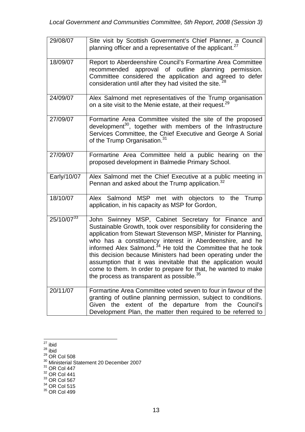| 29/08/07               | Site visit by Scottish Government's Chief Planner, a Council<br>planning officer and a representative of the applicant. <sup>27</sup>                                                                                                                                                                                                                                                                                                                                                                                                                                                      |
|------------------------|--------------------------------------------------------------------------------------------------------------------------------------------------------------------------------------------------------------------------------------------------------------------------------------------------------------------------------------------------------------------------------------------------------------------------------------------------------------------------------------------------------------------------------------------------------------------------------------------|
| 18/09/07               | Report to Aberdeenshire Council's Formartine Area Committee<br>recommended approval of outline planning permission.<br>Committee considered the application and agreed to defer<br>consideration until after they had visited the site. <sup>28</sup>                                                                                                                                                                                                                                                                                                                                      |
| 24/09/07               | Alex Salmond met representatives of the Trump organisation<br>on a site visit to the Menie estate, at their request. <sup>29</sup>                                                                                                                                                                                                                                                                                                                                                                                                                                                         |
| 27/09/07               | Formartine Area Committee visited the site of the proposed<br>development <sup>30</sup> , together with members of the Infrastructure<br>Services Committee, the Chief Executive and George A Sorial<br>of the Trump Organisation. <sup>31</sup>                                                                                                                                                                                                                                                                                                                                           |
| 27/09/07               | Formartine Area Committee held a public hearing on the<br>proposed development in Balmedie Primary School.                                                                                                                                                                                                                                                                                                                                                                                                                                                                                 |
| Early/10/07            | Alex Salmond met the Chief Executive at a public meeting in<br>Pennan and asked about the Trump application. <sup>32</sup>                                                                                                                                                                                                                                                                                                                                                                                                                                                                 |
| 18/10/07               | Alex Salmond MSP met with objectors to the Trump<br>application, in his capacity as MSP for Gordon,                                                                                                                                                                                                                                                                                                                                                                                                                                                                                        |
| 25/10/07 <sup>33</sup> | John Swinney MSP, Cabinet Secretary for Finance and<br>Sustainable Growth, took over responsibility for considering the<br>application from Stewart Stevenson MSP, Minister for Planning,<br>who has a constituency interest in Aberdeenshire, and he<br>informed Alex Salmond. <sup>34</sup> He told the Committee that he took<br>this decision because Ministers had been operating under the<br>assumption that it was inevitable that the application would<br>come to them. In order to prepare for that, he wanted to make<br>the process as transparent as possible. <sup>35</sup> |
| 20/11/07               | Formartine Area Committee voted seven to four in favour of the<br>granting of outline planning permission, subject to conditions.<br>extent of the departure from the Council's<br>Given the<br>Development Plan, the matter then required to be referred to                                                                                                                                                                                                                                                                                                                               |

<sup>1</sup>  $27$  ibid

- $31$  OR Col 447
- $32$  OR Col 441
- $33$  OR Col 567
- $34$  OR Col 515

<sup>28</sup> ibid

 $^{29}$  OR Col 508

<sup>&</sup>lt;sup>30</sup> Ministerial Statement 20 December 2007

 $35$  OR Col 499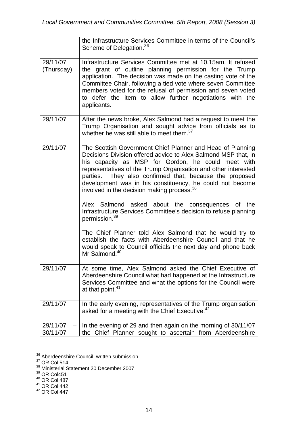|                        | the Infrastructure Services Committee in terms of the Council's<br>Scheme of Delegation. <sup>36</sup>                                                                                                                                                                                                                                                                                                                                                                                                                                                                                    |
|------------------------|-------------------------------------------------------------------------------------------------------------------------------------------------------------------------------------------------------------------------------------------------------------------------------------------------------------------------------------------------------------------------------------------------------------------------------------------------------------------------------------------------------------------------------------------------------------------------------------------|
| 29/11/07<br>(Thursday) | Infrastructure Services Committee met at 10.15am. It refused<br>the grant of outline planning permission for the Trump<br>application. The decision was made on the casting vote of the<br>Committee Chair, following a tied vote where seven Committee<br>members voted for the refusal of permission and seven voted<br>to defer the item to allow further negotiations with the<br>applicants.                                                                                                                                                                                         |
| 29/11/07               | After the news broke, Alex Salmond had a request to meet the<br>Trump Organisation and sought advice from officials as to<br>whether he was still able to meet them. <sup>37</sup>                                                                                                                                                                                                                                                                                                                                                                                                        |
| 29/11/07               | The Scottish Government Chief Planner and Head of Planning<br>Decisions Division offered advice to Alex Salmond MSP that, in<br>his capacity as MSP for Gordon, he could meet with<br>representatives of the Trump Organisation and other interested<br>parties. They also confirmed that, because the proposed<br>development was in his constituency, he could not become<br>involved in the decision making process. <sup>38</sup><br>Alex Salmond asked about the consequences of the<br>Infrastructure Services Committee's decision to refuse planning<br>permission. <sup>39</sup> |
|                        | The Chief Planner told Alex Salmond that he would try to<br>establish the facts with Aberdeenshire Council and that he<br>would speak to Council officials the next day and phone back<br>Mr Salmond. <sup>40</sup>                                                                                                                                                                                                                                                                                                                                                                       |
| 29/11/07               | At some time, Alex Salmond asked the Chief Executive of<br>Aberdeenshire Council what had happened at the Infrastructure<br>Services Committee and what the options for the Council were<br>at that point. <sup>41</sup>                                                                                                                                                                                                                                                                                                                                                                  |
| 29/11/07               | In the early evening, representatives of the Trump organisation<br>asked for a meeting with the Chief Executive. <sup>42</sup>                                                                                                                                                                                                                                                                                                                                                                                                                                                            |
| 29/11/07<br>30/11/07   | In the evening of 29 and then again on the morning of 30/11/07<br>the Chief Planner sought to ascertain from Aberdeenshire                                                                                                                                                                                                                                                                                                                                                                                                                                                                |

 <sup>36</sup> Aberdeenshire Council, written submission

 $40$  OR Col 487

 $37$  OR Col 514

<sup>&</sup>lt;sup>38</sup> Ministerial Statement 20 December 2007

 $39$  OR Col451

 $41$  OR Col 442

 $42$  OR Col 447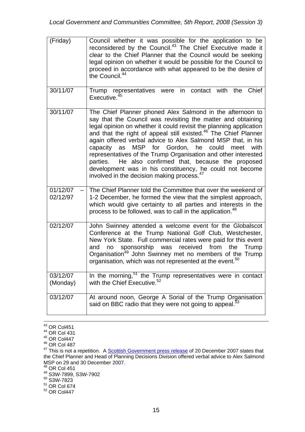| (Friday)             | Council whether it was possible for the application to be<br>reconsidered by the Council. <sup>43</sup> The Chief Executive made it<br>clear to the Chief Planner that the Council would be seeking<br>legal opinion on whether it would be possible for the Council to<br>proceed in accordance with what appeared to be the desire of<br>the Council. <sup>44</sup>                                                                                                                                                                                                                                                                                                     |
|----------------------|---------------------------------------------------------------------------------------------------------------------------------------------------------------------------------------------------------------------------------------------------------------------------------------------------------------------------------------------------------------------------------------------------------------------------------------------------------------------------------------------------------------------------------------------------------------------------------------------------------------------------------------------------------------------------|
| 30/11/07             | Trump representatives were in contact with the<br>Chief<br>Executive. <sup>45</sup>                                                                                                                                                                                                                                                                                                                                                                                                                                                                                                                                                                                       |
| 30/11/07             | The Chief Planner phoned Alex Salmond in the afternoon to<br>say that the Council was revisiting the matter and obtaining<br>legal opinion on whether it could revisit the planning application<br>and that the right of appeal still existed. <sup>46</sup> The Chief Planner<br>again offered verbal advice to Alex Salmond MSP that, in his<br>MSP<br>for Gordon,<br>he<br>capacity<br>could<br>with<br>as<br>meet<br>representatives of the Trump Organisation and other interested<br>He also confirmed that, because the proposed<br>parties.<br>development was in his constituency, he could not become<br>involved in the decision making process. <sup>47</sup> |
| 01/12/07<br>02/12/97 | The Chief Planner told the Committee that over the weekend of<br>1-2 December, he formed the view that the simplest approach,<br>which would give certainty to all parties and interests in the<br>process to be followed, was to call in the application. <sup>48</sup>                                                                                                                                                                                                                                                                                                                                                                                                  |
| 02/12/07             | John Swinney attended a welcome event for the Globalscot<br>Conference at the Trump National Golf Club, Westchester,<br>New York State. Full commercial rates were paid for this event<br>received<br>Trump<br>sponsorship was<br>from<br>the<br>and<br>no<br>Organisation <sup>49</sup> John Swinney met no members of the Trump<br>organisation, which was not represented at the event. <sup>50</sup>                                                                                                                                                                                                                                                                  |
| 03/12/07<br>(Monday) | In the morning, <sup>51</sup> the Trump representatives were in contact<br>with the Chief Executive. <sup>52</sup>                                                                                                                                                                                                                                                                                                                                                                                                                                                                                                                                                        |
| 03/12/07             | At around noon, George A Sorial of the Trump Organisation<br>said on BBC radio that they were not going to appeal. <sup>5</sup>                                                                                                                                                                                                                                                                                                                                                                                                                                                                                                                                           |

 $\frac{43}{43}$  OR Col451

 $50$  S3W-7823

 $44$  OR Col 431

 $45$  OR Col447

<sup>46</sup> OR Col 487

<sup>&</sup>lt;sup>47</sup> This is not a repetition. A Scottish Government press release of 20 December 2007 states that the Chief Planner and Head of Planning Decisions Division offered verbal advice to Alex Salmond MSP on 29 and 30 December 2007.

<sup>48</sup> OR Col 451

<sup>49</sup> S3W-7899, S3W-7902

 $<sup>51</sup>$  OR Col 674</sup>

 $52$  OR Col447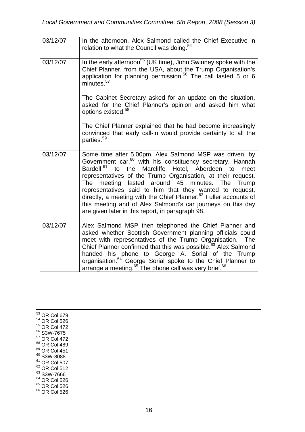| 03/12/07 | In the afternoon, Alex Salmond called the Chief Executive in<br>relation to what the Council was doing. <sup>54</sup>                                                                                                                                                                                                                                                                                                                                                                                                                                                                                |  |  |  |  |
|----------|------------------------------------------------------------------------------------------------------------------------------------------------------------------------------------------------------------------------------------------------------------------------------------------------------------------------------------------------------------------------------------------------------------------------------------------------------------------------------------------------------------------------------------------------------------------------------------------------------|--|--|--|--|
| 03/12/07 | In the early afternoon <sup>55</sup> (UK time), John Swinney spoke with the<br>Chief Planner, from the USA, about the Trump Organisation's<br>application for planning permission. <sup>56</sup> The call lasted 5 or 6<br>minutes. <sup>57</sup>                                                                                                                                                                                                                                                                                                                                                    |  |  |  |  |
|          | The Cabinet Secretary asked for an update on the situation,<br>asked for the Chief Planner's opinion and asked him what<br>options existed. <sup>58</sup>                                                                                                                                                                                                                                                                                                                                                                                                                                            |  |  |  |  |
|          | The Chief Planner explained that he had become increasingly<br>convinced that early call-in would provide certainty to all the<br>parties. <sup>59</sup>                                                                                                                                                                                                                                                                                                                                                                                                                                             |  |  |  |  |
| 03/12/07 | Some time after 5.00pm, Alex Salmond MSP was driven, by<br>Government car, <sup>60</sup> with his constituency secretary, Hannah<br>Bardell, <sup>61</sup> to the Marcliffe Hotel, Aberdeen to<br>meet<br>representatives of the Trump Organisation, at their request.<br>around 45<br>The<br>meeting<br>lasted<br>minutes. The Trump<br>representatives said to him that they wanted to request,<br>directly, a meeting with the Chief Planner. <sup>62</sup> Fuller accounts of<br>this meeting and of Alex Salmond's car journeys on this day<br>are given later in this report, in paragraph 98. |  |  |  |  |
| 03/12/07 | Alex Salmond MSP then telephoned the Chief Planner and<br>asked whether Scottish Government planning officials could<br>meet with representatives of the Trump Organisation.<br>The<br>Chief Planner confirmed that this was possible. <sup>63</sup> Alex Salmond<br>handed his phone to George A. Sorial of the Trump<br>organisation. <sup>64</sup> George Sorial spoke to the Chief Planner to<br>arrange a meeting. <sup>65</sup> The phone call was very brief. <sup>66</sup>                                                                                                                   |  |  |  |  |

 $\frac{1}{53}$  OR Col 679  $54$  OR Col 526 55 OR Col 472 56 S3W-7675 57 OR Col 472 58 OR Col 489  $59$  OR Col 451  $60$  S3W-8088  $61$  OR Col 507 <sup>62</sup> OR Col 512 <sup>63</sup> S3W-7666  $64$  OR Col 526 <sup>65</sup> OR Col 526  $66$  OR Col 526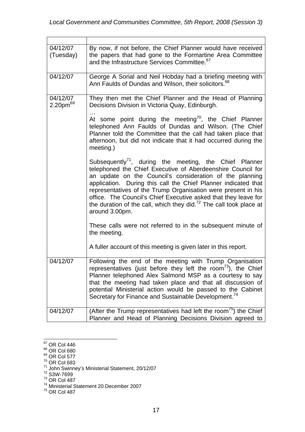Ē

| 04/12/07<br>(Tuesday)                        | By now, if not before, the Chief Planner would have received<br>the papers that had gone to the Formartine Area Committee<br>and the Infrastructure Services Committee. <sup>67</sup>                                                                                                                                                                                                                                                                                                          |
|----------------------------------------------|------------------------------------------------------------------------------------------------------------------------------------------------------------------------------------------------------------------------------------------------------------------------------------------------------------------------------------------------------------------------------------------------------------------------------------------------------------------------------------------------|
| 04/12/07                                     | George A Sorial and Neil Hobday had a briefing meeting with<br>Ann Faulds of Dundas and Wilson, their solicitors. <sup>68</sup>                                                                                                                                                                                                                                                                                                                                                                |
| 04/12/07<br>2.20 <sub>pm</sub> <sup>69</sup> | They then met the Chief Planner and the Head of Planning<br>Decisions Division in Victoria Quay, Edinburgh.                                                                                                                                                                                                                                                                                                                                                                                    |
|                                              | At some point during the meeting <sup>70</sup> , the Chief Planner<br>telephoned Ann Faulds of Dundas and Wilson. (The Chief<br>Planner told the Committee that the call had taken place that<br>afternoon, but did not indicate that it had occurred during the<br>meeting.)                                                                                                                                                                                                                  |
|                                              | Subsequently <sup>71</sup> , during the meeting, the Chief Planner<br>telephoned the Chief Executive of Aberdeenshire Council for<br>an update on the Council's consideration of the planning<br>application. During this call the Chief Planner indicated that<br>representatives of the Trump Organisation were present in his<br>office. The Council's Chief Executive asked that they leave for<br>the duration of the call, which they did. $72$ The call took place at<br>around 3.00pm. |
|                                              | These calls were not referred to in the subsequent minute of<br>the meeting.                                                                                                                                                                                                                                                                                                                                                                                                                   |
|                                              | A fuller account of this meeting is given later in this report.                                                                                                                                                                                                                                                                                                                                                                                                                                |
| 04/12/07                                     | Following the end of the meeting with Trump Organisation<br>representatives (just before they left the room $^{73}$ ), the Chief<br>Planner telephoned Alex Salmond MSP as a courtesy to say<br>that the meeting had taken place and that all discussion of<br>potential Ministerial action would be passed to the Cabinet<br>Secretary for Finance and Sustainable Development. <sup>74</sup>                                                                                                 |
| 04/12/07                                     | (After the Trump representatives had left the room <sup>75</sup> ) the Chief<br>Planner and Head of Planning Decisions Division agreed to                                                                                                                                                                                                                                                                                                                                                      |

<sup>1</sup>  $67$  OR Col 446

<sup>&</sup>lt;sup>68</sup> OR Col 680

<sup>&</sup>lt;sup>69</sup> OR Col 577

 $70$  OR Col 683

<sup>&</sup>lt;sup>71</sup> John Swinney's Ministerial Statement, 20/12/07<br><sup>72</sup> S3W-7699

 $73$  OR Col 487

<sup>74</sup> Ministerial Statement 20 December 2007

 $75$  OR Col 487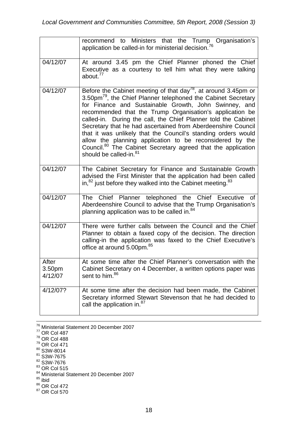|                                        | recommend to Ministers that the Trump Organisation's<br>application be called-in for ministerial decision. <sup>76</sup>                                                                                                                                                                                                                                                                                                                                                                                                                                                                                                                                      |
|----------------------------------------|---------------------------------------------------------------------------------------------------------------------------------------------------------------------------------------------------------------------------------------------------------------------------------------------------------------------------------------------------------------------------------------------------------------------------------------------------------------------------------------------------------------------------------------------------------------------------------------------------------------------------------------------------------------|
| 04/12/07                               | At around 3.45 pm the Chief Planner phoned the Chief<br>Executive as a courtesy to tell him what they were talking<br>about. <sup>77</sup>                                                                                                                                                                                                                                                                                                                                                                                                                                                                                                                    |
| 04/12/07                               | Before the Cabinet meeting of that day <sup>78</sup> , at around 3.45pm or<br>3.50pm <sup>79</sup> , the Chief Planner telephoned the Cabinet Secretary<br>for Finance and Sustainable Growth, John Swinney, and<br>recommended that the Trump Organisation's application be<br>called-in. During the call, the Chief Planner told the Cabinet<br>Secretary that he had ascertained from Aberdeenshire Council<br>that it was unlikely that the Council's standing orders would<br>allow the planning application to be reconsidered by the<br>Council. <sup>80</sup> The Cabinet Secretary agreed that the application<br>should be called-in. <sup>81</sup> |
| 04/12/07                               | The Cabinet Secretary for Finance and Sustainable Growth<br>advised the First Minister that the application had been called<br>in, $82$ just before they walked into the Cabinet meeting. $83$                                                                                                                                                                                                                                                                                                                                                                                                                                                                |
| 04/12/07                               | The Chief Planner telephoned the Chief Executive of<br>Aberdeenshire Council to advise that the Trump Organisation's<br>planning application was to be called in. <sup>84</sup>                                                                                                                                                                                                                                                                                                                                                                                                                                                                               |
| 04/12/07                               | There were further calls between the Council and the Chief<br>Planner to obtain a faxed copy of the decision. The direction<br>calling-in the application was faxed to the Chief Executive's<br>office at around 5.00pm. <sup>85</sup>                                                                                                                                                                                                                                                                                                                                                                                                                        |
| After<br>3.50 <sub>pm</sub><br>4/12/07 | At some time after the Chief Planner's conversation with the<br>Cabinet Secretary on 4 December, a written options paper was<br>sent to him. <sup>86</sup>                                                                                                                                                                                                                                                                                                                                                                                                                                                                                                    |
| 4/12/07?                               | At some time after the decision had been made, the Cabinet<br>Secretary informed Stewart Stevenson that he had decided to<br>call the application in. <sup>87</sup>                                                                                                                                                                                                                                                                                                                                                                                                                                                                                           |

<sup>76</sup> Ministerial Statement 20 December 2007<br><sup>77</sup> OR Col 487

- $81$  S3W-7675  $82$  S3W-7676
- $83$  OR Col 515
- <sup>84</sup> Ministerial Statement 20 December 2007
- <sup>85</sup> ibid
- <sup>86</sup> OR Col 472
- 86 OR Col 472<br>87 OR Col 570

 $78$  OR Col 488

<sup>&</sup>lt;sup>79</sup> OR Col 471

 $80$  S3W-8014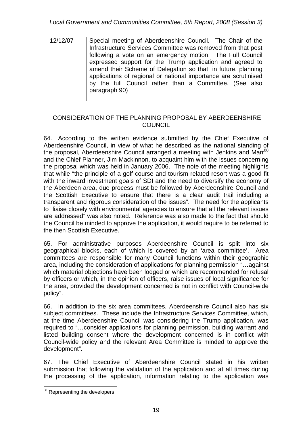| 12/12/07 | Special meeting of Aberdeenshire Council. The Chair of the      |  |  |  |  |  |
|----------|-----------------------------------------------------------------|--|--|--|--|--|
|          | Infrastructure Services Committee was removed from that post    |  |  |  |  |  |
|          | following a vote on an emergency motion. The Full Council       |  |  |  |  |  |
|          | expressed support for the Trump application and agreed to       |  |  |  |  |  |
|          | amend their Scheme of Delegation so that, in future, planning   |  |  |  |  |  |
|          | applications of regional or national importance are scrutinised |  |  |  |  |  |
|          | by the full Council rather than a Committee. (See also          |  |  |  |  |  |
|          | paragraph 90)                                                   |  |  |  |  |  |
|          |                                                                 |  |  |  |  |  |

## CONSIDERATION OF THE PLANNING PROPOSAL BY ABERDEENSHIRE **COUNCIL**

64. According to the written evidence submitted by the Chief Executive of Aberdeenshire Council, in view of what he described as the national standing of the proposal, Aberdeenshire Council arranged a meeting with Jenkins and Marr<sup>88</sup> and the Chief Planner, Jim Mackinnon, to acquaint him with the issues concerning the proposal which was held in January 2006. The note of the meeting highlights that while "the principle of a golf course and tourism related resort was a good fit with the inward investment goals of SDI and the need to diversify the economy of the Aberdeen area, due process must be followed by Aberdeenshire Council and the Scottish Executive to ensure that there is a clear audit trail including a transparent and rigorous consideration of the issues". The need for the applicants to "liaise closely with environmental agencies to ensure that all the relevant issues are addressed" was also noted. Reference was also made to the fact that should the Council be minded to approve the application, it would require to be referred to the then Scottish Executive.

65. For administrative purposes Aberdeenshire Council is split into six geographical blocks, each of which is covered by an 'area committee'. Area committees are responsible for many Council functions within their geographic area, including the consideration of applications for planning permission "…against which material objections have been lodged or which are recommended for refusal by officers or which, in the opinion of officers, raise issues of local significance for the area, provided the development concerned is not in conflict with Council-wide policy".

66. In addition to the six area committees, Aberdeenshire Council also has six subject committees. These include the Infrastructure Services Committee, which, at the time Aberdeenshire Council was considering the Trump application, was required to "…consider applications for planning permission, building warrant and listed building consent where the development concerned is in conflict with Council-wide policy and the relevant Area Committee is minded to approve the development".

67. The Chief Executive of Aberdeenshire Council stated in his written submission that following the validation of the application and at all times during the processing of the application, information relating to the application was

<sup>1</sup> <sup>88</sup> Representing the developers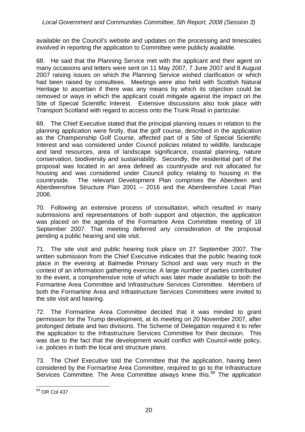available on the Council's website and updates on the processing and timescales involved in reporting the application to Committee were publicly available.

68. He said that the Planning Service met with the applicant and their agent on many occasions and letters were sent on 11 May 2007, 7 June 2007 and 8 August 2007 raising issues on which the Planning Service wished clarification or which had been raised by consultees. Meetings were also held with Scottish Natural Heritage to ascertain if there was any means by which its objection could be removed or ways in which the applicant could mitigate against the impact on the Site of Special Scientific Interest. Extensive discussions also took place with Transport Scotland with regard to access onto the Trunk Road in particular.

69. The Chief Executive stated that the principal planning issues in relation to the planning application were firstly, that the golf course, described in the application as the Championship Golf Course, affected part of a Site of Special Scientific Interest and was considered under Council policies related to wildlife, landscape and land resources, area of landscape significance, coastal planning, nature conservation, biodiversity and sustainability. Secondly, the residential part of the proposal was located in an area defined as countryside and not allocated for housing and was considered under Council policy relating to housing in the countryside. The relevant Development Plan comprises the Aberdeen and Aberdeenshire Structure Plan 2001 – 2016 and the Aberdeenshire Local Plan 2006.

70. Following an extensive process of consultation, which resulted in many submissions and representations of both support and objection, the application was placed on the agenda of the Formartine Area Committee meeting of 18 September 2007. That meeting deferred any consideration of the proposal pending a public hearing and site visit.

71. The site visit and public hearing took place on 27 September 2007. The written submission from the Chief Executive indicates that the public hearing took place in the evening at Balmedie Primary School and was very much in the context of an information gathering exercise. A large number of parties contributed to the event, a comprehensive note of which was later made available to both the Formartine Area Committee and Infrastructure Services Committee. Members of both the Formartine Area and Infrastructure Services Committees were invited to the site visit and hearing.

72. The Formartine Area Committee decided that it was minded to grant permission for the Trump development, at its meeting on 20 November 2007, after prolonged debate and two divisions. The Scheme of Delegation required it to refer the application to the Infrastructure Services Committee for their decision. This was due to the fact that the development would conflict with Council-wide policy, i.e. policies in both the local and structure plans.

73. The Chief Executive told the Committee that the application, having been considered by the Formartine Area Committee, required to go to the Infrastructure Services Committee. The Area Committee always knew this.<sup>89</sup> The application

<sup>1</sup> <sup>89</sup> OR Col 437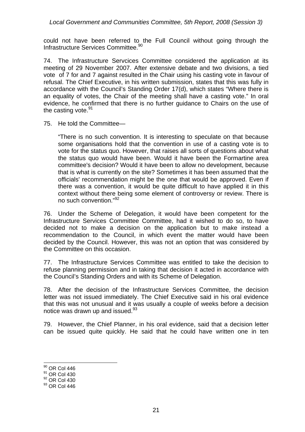*Local Government and Communities Committee, 5th Report, 2008 (Session 3)* 

could not have been referred to the Full Council without going through the Infrastructure Services Committee.90

74. The Infrastructure Servcices Committee considered the application at its meeting of 29 November 2007. After extensive debate and two divisions, a tied vote of 7 for and 7 against resulted in the Chair using his casting vote in favour of refusal. The Chief Executive, in his written submission, states that this was fully in accordance with the Council's Standing Order 17(d), which states "Where there is an equality of votes, the Chair of the meeting shall have a casting vote." In oral evidence, he confirmed that there is no further guidance to Chairs on the use of the casting vote.<sup>91</sup>

75. He told the Committee—

"There is no such convention. It is interesting to speculate on that because some organisations hold that the convention in use of a casting vote is to vote for the status quo. However, that raises all sorts of questions about what the status quo would have been. Would it have been the Formartine area committee's decision? Would it have been to allow no development, because that is what is currently on the site? Sometimes it has been assumed that the officials' recommendation might be the one that would be approved. Even if there was a convention, it would be quite difficult to have applied it in this context without there being some element of controversy or review. There is no such convention."<sup>92</sup>

76. Under the Scheme of Delegation, it would have been competent for the Infrastructure Services Committee Committee, had it wished to do so, to have decided not to make a decision on the application but to make instead a recommendation to the Council, in which event the matter would have been decided by the Council. However, this was not an option that was considered by the Committee on this occasion.

77. The Infrastructure Services Committee was entitled to take the decision to refuse planning permission and in taking that decision it acted in accordance with the Council's Standing Orders and with its Scheme of Delegation.

78. After the decision of the Infrastructure Services Committee, the decision letter was not issued immediately. The Chief Executive said in his oral evidence that this was not unusual and it was usually a couple of weeks before a decision notice was drawn up and issued. $93$ 

79. However, the Chief Planner, in his oral evidence, said that a decision letter can be issued quite quickly. He said that he could have written one in ten

<sup>&</sup>lt;sup>90</sup> OR Col 446

<sup>&</sup>lt;sup>91</sup> OR Col 430

<sup>92</sup> OR Col 430

<sup>93</sup> OR Col 446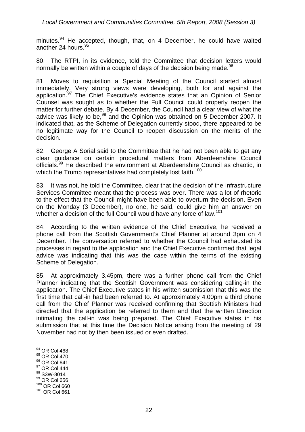minutes.<sup>94</sup> He accepted, though, that, on 4 December, he could have waited another 24 hours.<sup>95</sup>

80. The RTPI, in its evidence, told the Committee that decision letters would normally be written within a couple of days of the decision being made.<sup>96</sup>

81. Moves to requisition a Special Meeting of the Council started almost immediately. Very strong views were developing, both for and against the application.<sup>97</sup> The Chief Executive's evidence states that an Opinion of Senior Counsel was sought as to whether the Full Council could properly reopen the matter for further debate. By 4 December, the Council had a clear view of what the advice was likely to be, $98$  and the Opinion was obtained on 5 December 2007. It indicated that, as the Scheme of Delegation currently stood, there appeared to be no legitimate way for the Council to reopen discussion on the merits of the decision.

82. George A Sorial said to the Committee that he had not been able to get any clear guidance on certain procedural matters from Aberdeenshire Council officials.<sup>99</sup> He described the environment at Aberdeenshire Council as chaotic, in which the Trump representatives had completely lost faith.<sup>100</sup>

83. It was not, he told the Committee, clear that the decision of the Infrastructure Services Committee meant that the process was over. There was a lot of rhetoric to the effect that the Council might have been able to overturn the decision. Even on the Monday (3 December), no one, he said, could give him an answer on whether a decision of the full Council would have any force of law.<sup>101</sup>

84. According to the written evidence of the Chief Executive, he received a phone call from the Scottish Government's Chief Planner at around 3pm on 4 December. The conversation referred to whether the Council had exhausted its processes in regard to the application and the Chief Executive confirmed that legal advice was indicating that this was the case within the terms of the existing Scheme of Delegation.

85. At approximately 3.45pm, there was a further phone call from the Chief Planner indicating that the Scottish Government was considering calling-in the application. The Chief Executive states in his written submission that this was the first time that call-in had been referred to. At approximately 4.00pm a third phone call from the Chief Planner was received confirming that Scottish Ministers had directed that the application be referred to them and that the written Direction intimating the call-in was being prepared. The Chief Executive states in his submission that at this time the Decision Notice arising from the meeting of 29 November had not by then been issued or even drafted.

- <sup>95</sup> OR Col 470
- <sup>96</sup> OR Col 641
- <sup>97</sup> OR Col 444
- <sup>98</sup> S3W-8014
- <sup>99</sup> OR Col 656
- 100 OR Col 660 101 OR Col 661

<sup>&</sup>lt;u>.</u> <sup>94</sup> OR Col 468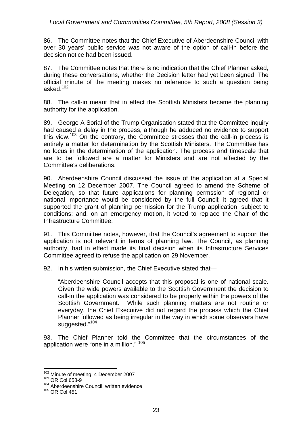#### *Local Government and Communities Committee, 5th Report, 2008 (Session 3)*

86. The Committee notes that the Chief Executive of Aberdeenshire Council with over 30 years' public service was not aware of the option of call-in before the decision notice had been issued.

87. The Committee notes that there is no indication that the Chief Planner asked, during these conversations, whether the Decision letter had yet been signed. The official minute of the meeting makes no reference to such a question being asked $102$ 

88. The call-in meant that in effect the Scottish Ministers became the planning authority for the application.

89. George A Sorial of the Trump Organisation stated that the Committee inquiry had caused a delay in the process, although he adduced no evidence to support this view.<sup>103</sup> On the contrary, the Committee stresses that the call-in process is entirely a matter for determination by the Scottish Ministers. The Committee has no locus in the determination of the application. The process and timescale that are to be followed are a matter for Ministers and are not affected by the Committee's deliberations.

90. Aberdeenshire Council discussed the issue of the application at a Special Meeting on 12 December 2007. The Council agreed to amend the Scheme of Delegation, so that future applications for planning permssion of regional or national importance would be considered by the full Council; it agreed that it supported the grant of planning permission for the Trump application, subject to conditions; and, on an emergency motion, it voted to replace the Chair of the Infrastructure Committee.

91. This Committee notes, however, that the Council's agreement to support the application is not relevant in terms of planning law. The Council, as planning authority, had in effect made its final decision when its Infrastructure Services Committee agreed to refuse the application on 29 November.

92. In his wrtten submission, the Chief Executive stated that-

"Aberdeenshire Council accepts that this proposal is one of national scale. Given the wide powers available to the Scottish Government the decision to call-in the application was considered to be properly within the powers of the Scottish Government. While such planning matters are not routine or everyday, the Chief Executive did not regard the process which the Chief Planner followed as being irregular in the way in which some observers have suggested."<sup>104</sup>

93. The Chief Planner told the Committee that the circumstances of the application were "one in a million." <sup>105</sup>

 $^{102}$  Minute of meeting, 4 December 2007<br> $^{103}$  OR Col 658-9

 $103$  OR Col 658-9<br> $104$  Aberdeenshire Council, written evidence

<sup>105</sup> OR Col 451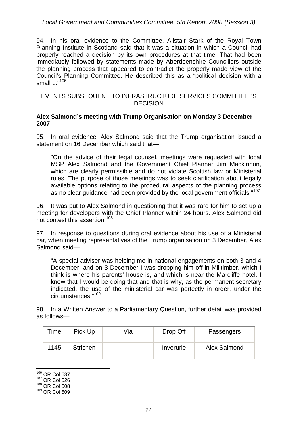#### *Local Government and Communities Committee, 5th Report, 2008 (Session 3)*

94. In his oral evidence to the Committee, Alistair Stark of the Royal Town Planning Institute in Scotland said that it was a situation in which a Council had properly reached a decision by its own procedures at that time. That had been immediately followed by statements made by Aberdeenshire Councillors outside the planning process that appeared to contradict the properly made view of the Council's Planning Committee. He described this as a "political decision with a small p."106

#### EVENTS SUBSEQUENT TO INFRASTRUCTURE SERVICES COMMITTEE 'S **DECISION**

#### **Alex Salmond's meeting with Trump Organisation on Monday 3 December 2007**

95. In oral evidence, Alex Salmond said that the Trump organisation issued a statement on 16 December which said that—

"On the advice of their legal counsel, meetings were requested with local MSP Alex Salmond and the Government Chief Planner Jim Mackinnon, which are clearly permissible and do not violate Scottish law or Ministerial rules. The purpose of those meetings was to seek clarification about legally available options relating to the procedural aspects of the planning process as no clear guidance had been provided by the local government officials."<sup>107</sup>

96. It was put to Alex Salmond in questioning that it was rare for him to set up a meeting for developers with the Chief Planner within 24 hours. Alex Salmond did not contest this assertion.108

97. In response to questions during oral evidence about his use of a Ministerial car, when meeting representatives of the Trump organisation on 3 December, Alex Salmond said—

"A special adviser was helping me in national engagements on both 3 and 4 December, and on 3 December I was dropping him off in Milltimber, which I think is where his parents' house is, and which is near the Marcliffe hotel. I knew that I would be doing that and that is why, as the permanent secretary indicated, the use of the ministerial car was perfectly in order, under the circumstances."109

98. In a Written Answer to a Parliamentary Question, further detail was provided as follows—

| Time | Pick Up         | ∨ia | Drop Off  | Passengers   |
|------|-----------------|-----|-----------|--------------|
| 1145 | <b>Strichen</b> |     | Inverurie | Alex Salmond |

1  $106$  OR Col 637

<sup>107</sup> OR Col 526

<sup>108</sup> OR Col 508

<sup>109</sup> OR Col 509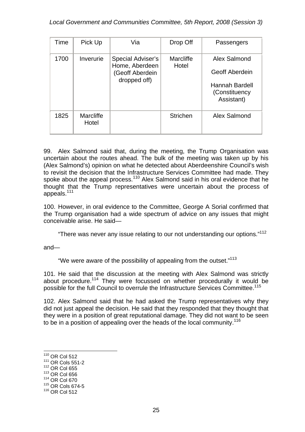| Time | Pick Up            | Via                                 | Drop Off           | Passengers                                           |
|------|--------------------|-------------------------------------|--------------------|------------------------------------------------------|
| 1700 | Inverurie          | Special Adviser's<br>Home, Aberdeen | Marcliffe<br>Hotel | Alex Salmond                                         |
|      |                    | (Geoff Aberdein<br>dropped off)     |                    | <b>Geoff Aberdein</b>                                |
|      |                    |                                     |                    | <b>Hannah Bardell</b><br>(Constituency<br>Assistant) |
| 1825 | Marcliffe<br>Hotel |                                     | <b>Strichen</b>    | Alex Salmond                                         |

99. Alex Salmond said that, during the meeting, the Trump Organisation was uncertain about the routes ahead. The bulk of the meeting was taken up by his (Alex Salmond's) opinion on what he detected about Aberdeenshire Council's wish to revisit the decision that the Infrastructure Services Committee had made. They spoke about the appeal process.<sup>110</sup> Alex Salmond said in his oral evidence that he thought that the Trump representatives were uncertain about the process of appeals.<sup>111</sup>

100. However, in oral evidence to the Committee, George A Sorial confirmed that the Trump organisation had a wide spectrum of advice on any issues that might conceivable arise. He said—

"There was never any issue relating to our not understanding our options."<sup>112</sup>

and—

"We were aware of the possibility of appealing from the outset."<sup>113</sup>

101. He said that the discussion at the meeting with Alex Salmond was strictly about procedure.114 They were focussed on whether procedurally it would be possible for the full Council to overrule the Infrastructure Services Committee.<sup>115</sup>

102. Alex Salmond said that he had asked the Trump representatives why they did not just appeal the decision. He said that they responded that they thought that they were in a position of great reputational damage. They did not want to be seen to be in a position of appealing over the heads of the local community.<sup>116</sup>

- 113 OR Col 656
- 114 OR Col 670

<sup>1</sup>  $110$  OR Col 512

<sup>111</sup> OR Cols 551-2

<sup>112</sup> OR Col 655

<sup>115</sup> OR Cols 674-5

<sup>116</sup> OR Col 512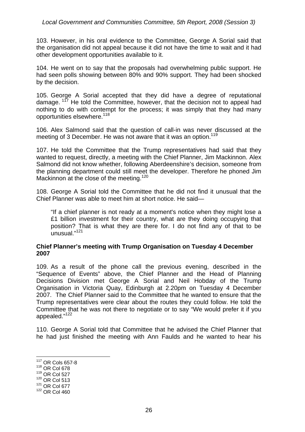#### *Local Government and Communities Committee, 5th Report, 2008 (Session 3)*

103. However, in his oral evidence to the Committee, George A Sorial said that the organisation did not appeal because it did not have the time to wait and it had other development opportunities available to it.

104. He went on to say that the proposals had overwhelming public support. He had seen polls showing between 80% and 90% support. They had been shocked by the decision.

105. George A Sorial accepted that they did have a degree of reputational damage. <sup>117</sup> He told the Committee, however, that the decision not to appeal had nothing to do with contempt for the process; it was simply that they had many opportunities elsewhere.<sup>118</sup>

106. Alex Salmond said that the question of call-in was never discussed at the meeting of 3 December. He was not aware that it was an option.<sup>119</sup>

107. He told the Committee that the Trump representatives had said that they wanted to request, directly, a meeting with the Chief Planner, Jim Mackinnon. Alex Salmond did not know whether, following Aberdeenshire's decision, someone from the planning department could still meet the developer. Therefore he phoned Jim Mackinnon at the close of the meeting.<sup>120</sup>

108. George A Sorial told the Committee that he did not find it unusual that the Chief Planner was able to meet him at short notice. He said—

"If a chief planner is not ready at a moment's notice when they might lose a £1 billion investment for their country, what are they doing occupying that position? That is what they are there for. I do not find any of that to be unusual."<sup>121</sup>

#### **Chief Planner's meeting with Trump Organisation on Tuesday 4 December 2007**

109. As a result of the phone call the previous evening, described in the "Sequence of Events" above, the Chief Planner and the Head of Planning Decisions Division met George A Sorial and Neil Hobday of the Trump Organisation in Victoria Quay, Edinburgh at 2.20pm on Tuesday 4 December 2007. The Chief Planner said to the Committee that he wanted to ensure that the Trump representatives were clear about the routes they could follow. He told the Committee that he was not there to negotiate or to say "We would prefer it if you appealed."<sup>122</sup>

110. George A Sorial told that Committee that he advised the Chief Planner that he had just finished the meeting with Ann Faulds and he wanted to hear his

<sup>117</sup> OR Cols 657-8

<sup>118</sup> OR Col 678

<sup>119</sup> OR Col 527

<sup>120</sup> OR Col 513

<sup>121</sup> OR Col 677

<sup>122</sup> OR Col 460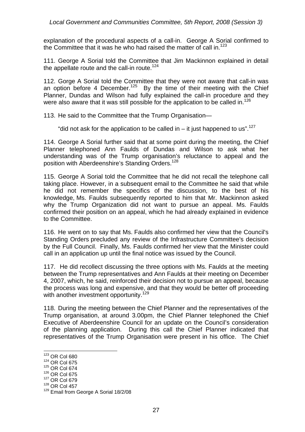explanation of the procedural aspects of a call-in. George A Sorial confirmed to the Committee that it was he who had raised the matter of call in.<sup>123</sup>

111. George A Sorial told the Committee that Jim Mackinnon explained in detail the appellate route and the call-in route.<sup>124</sup>

112. Gorge A Sorial told the Committee that they were not aware that call-in was an option before 4 December.<sup>125</sup> By the time of their meeting with the Chief Planner, Dundas and Wilson had fully explained the call-in procedure and they were also aware that it was still possible for the application to be called in.<sup>126</sup>

113. He said to the Committee that the Trump Organisation—

"did not ask for the application to be called in  $-$  it just happened to us".<sup>127</sup>

114. George A Sorial further said that at some point during the meeting, the Chief Planner telephoned Ann Faulds of Dundas and Wilson to ask what her understanding was of the Trump organisation's reluctance to appeal and the position with Aberdeenshire's Standing Orders.<sup>128</sup>

115. George A Sorial told the Committee that he did not recall the telephone call taking place. However, in a subsequent email to the Committee he said that while he did not remember the specifics of the discussion, to the best of his knowledge, Ms. Faulds subsequently reported to him that Mr. Mackinnon asked why the Trump Organization did not want to pursue an appeal. Ms. Faulds confirmed their position on an appeal, which he had already explained in evidence to the Committee.

116. He went on to say that Ms. Faulds also confirmed her view that the Council's Standing Orders precluded any review of the Infrastructure Committee's decision by the Full Council. Finally, Ms. Faulds confirmed her view that the Minister could call in an application up until the final notice was issued by the Council.

117. He did recollect discussing the three options with Ms. Faulds at the meeting between the Trump representatives and Ann Faulds at their meeting on December 4, 2007, which, he said, reinforced their decision not to pursue an appeal, because the process was long and expensive, and that they would be better off proceeding with another investment opportunity.<sup>129</sup>

118. During the meeting between the Chief Planner and the representatives of the Trump organisation, at around 3.00pm, the Chief Planner telephoned the Chief Executive of Aberdeenshire Council for an update on the Council's consideration of the planning application. During this call the Chief Planner indicated that representatives of the Trump Organisation were present in his office. The Chief

 $123$  OR Col 680

<sup>124</sup> OR Col 675

<sup>125</sup> OR Col 674

<sup>126</sup> OR Col 675

<sup>127</sup> OR Col 679

<sup>128</sup> OR Col 457

<sup>129</sup> Email from George A Sorial 18/2/08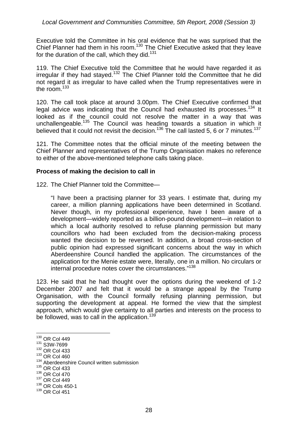Executive told the Committee in his oral evidence that he was surprised that the Chief Planner had them in his room.<sup>130</sup> The Chief Executive asked that they leave for the duration of the call, which they did.<sup>131</sup>

119. The Chief Executive told the Committee that he would have regarded it as irregular if they had stayed.<sup>132</sup> The Chief Planner told the Committee that he did not regard it as irregular to have called when the Trump representatives were in the room  $133$ 

120. The call took place at around 3.00pm. The Chief Executive confirmed that legal advice was indicating that the Council had exhausted its processes.<sup>134</sup> It looked as if the council could not resolve the matter in a way that was unchallengeable.<sup>135</sup> The Council was heading towards a situation in which it believed that it could not revisit the decision.<sup>136</sup> The call lasted 5, 6 or 7 minutes.<sup>137</sup>

121. The Committee notes that the official minute of the meeting between the Chief Planner and representatives of the Trump Organisation makes no reference to either of the above-mentioned telephone calls taking place.

#### **Process of making the decision to call in**

122. The Chief Planner told the Committee—

"I have been a practising planner for 33 years. I estimate that, during my career, a million planning applications have been determined in Scotland. Never though, in my professional experience, have I been aware of a development—widely reported as a billion-pound development—in relation to which a local authority resolved to refuse planning permission but many councillors who had been excluded from the decision-making process wanted the decision to be reversed. In addition, a broad cross-section of public opinion had expressed significant concerns about the way in which Aberdeenshire Council handled the application. The circumstances of the application for the Menie estate were, literally, one in a million. No circulars or internal procedure notes cover the circumstances."138

123. He said that he had thought over the options during the weekend of 1-2 December 2007 and felt that it would be a strange appeal by the Trump Organisation, with the Council formally refusing planning permission, but supporting the development at appeal. He formed the view that the simplest approach, which would give certainty to all parties and interests on the process to be followed, was to call in the application.<sup>139</sup>

- 132 OR Col 433
- 133 OR Col 460

<sup>1</sup>  $130$  OR Col 449

<sup>131</sup> S3W-7699

<sup>&</sup>lt;sup>134</sup> Aberdeenshire Council written submission

<sup>135</sup> OR Col 433

<sup>136</sup> OR Col 470

<sup>137</sup> OR Col 449

<sup>138</sup> OR Cols 450-1

<sup>139</sup> OR Col 451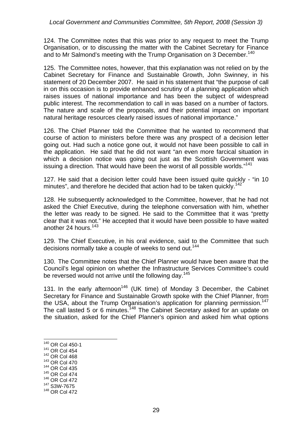124. The Committee notes that this was prior to any request to meet the Trump Organisation, or to discussing the matter with the Cabinet Secretary for Finance and to Mr Salmond's meeting with the Trump Organisation on 3 December.<sup>140</sup>

125. The Committee notes, however, that this explanation was not relied on by the Cabinet Secretary for Finance and Sustainable Growth, John Swinney, in his statement of 20 December 2007. He said in his statement that "the purpose of call in on this occasion is to provide enhanced scrutiny of a planning application which raises issues of national importance and has been the subject of widespread public interest. The recommendation to call in was based on a number of factors. The nature and scale of the proposals, and their potential impact on important natural heritage resources clearly raised issues of national importance."

126. The Chief Planner told the Committee that he wanted to recommend that course of action to ministers before there was any prospect of a decision letter going out. Had such a notice gone out, it would not have been possible to call in the application. He said that he did not want "an even more farcical situation in which a decision notice was going out just as the Scottish Government was issuing a direction. That would have been the worst of all possible worlds."<sup>141</sup>

127. He said that a decision letter could have been issued quite quickly - "in 10 minutes", and therefore he decided that action had to be taken quickly.<sup>142</sup>

128. He subsequently acknowledged to the Committee, however, that he had not asked the Chief Executive, during the telephone conversation with him, whether the letter was ready to be signed. He said to the Committee that it was "pretty clear that it was not." He accepted that it would have been possible to have waited another 24 hours.<sup>143</sup>

129. The Chief Executive, in his oral evidence, said to the Committee that such decisions normally take a couple of weeks to send out.<sup>144</sup>

130. The Committee notes that the Chief Planner would have been aware that the Council's legal opinion on whether the Infrastructure Services Committee's could be reversed would not arrive until the following day.<sup>145</sup>

131. In the early afternoon<sup>146</sup> (UK time) of Monday 3 December, the Cabinet Secretary for Finance and Sustainable Growth spoke with the Chief Planner, from the USA, about the Trump Organisation's application for planning permission.<sup>147</sup> The call lasted 5 or 6 minutes.<sup>148</sup> The Cabinet Secretary asked for an update on the situation, asked for the Chief Planner's opinion and asked him what options

- 1 140 OR Col 450-1
- 141 OR Col 454
- 142 OR Col 468
- 143 OR Col 470
- 144 OR Col 435
- 145 OR Col 474
- 146 OR Col 472 147 S3W-7675
- 148 OR Col 472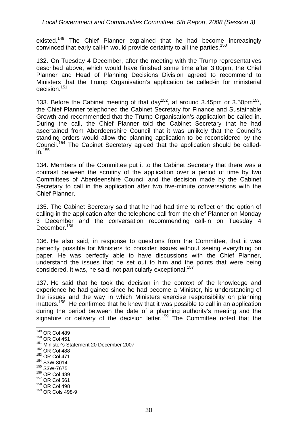existed.<sup>149</sup> The Chief Planner explained that he had become increasingly convinced that early call-in would provide certainty to all the parties.<sup>150</sup>

132. On Tuesday 4 December, after the meeting with the Trump representatives described above, which would have finished some time after 3.00pm, the Chief Planner and Head of Planning Decisions Division agreed to recommend to Ministers that the Trump Organisation's application be called-in for ministerial decision.<sup>151</sup>

133. Before the Cabinet meeting of that day<sup>152</sup>, at around 3.45pm or 3.50pm<sup>153</sup>, the Chief Planner telephoned the Cabinet Secretary for Finance and Sustainable Growth and recommended that the Trump Organisation's application be called-in. During the call, the Chief Planner told the Cabinet Secretary that he had ascertained from Aberdeenshire Council that it was unlikely that the Council's standing orders would allow the planning application to be reconsidered by the Council.154 The Cabinet Secretary agreed that the application should be called $in.<sup>155</sup>$ 

134. Members of the Committee put it to the Cabinet Secretary that there was a contrast between the scrutiny of the application over a period of time by two Committees of Aberdeenshire Council and the decision made by the Cabinet Secretary to call in the application after two five-minute conversations with the Chief Planner.

135. The Cabinet Secretary said that he had had time to reflect on the option of calling-in the application after the telephone call from the chief Planner on Monday 3 December and the conversation recommending call-in on Tuesday 4 December.<sup>156</sup>

136. He also said, in response to questions from the Committee, that it was perfectly possible for Ministers to consider issues without seeing everything on paper. He was perfectly able to have discussions with the Chief Planner, understand the issues that he set out to him and the points that were being considered. It was, he said, not particularly exceptional.<sup>157</sup>

137. He said that he took the decision in the context of the knowledge and experience he had gained since he had become a Minister, his understanding of the issues and the way in which Ministers exercise responsibility on planning matters.<sup>158</sup> He confirmed that he knew that it was possible to call in an application during the period between the date of a planning authority's meeting and the signature or delivery of the decision letter.<sup>159</sup> The Committee noted that the

<sup>149</sup> OR Col 489

<sup>150</sup> OR Col 451

<sup>151</sup> Minister's Statement 20 December 2007

<sup>152</sup> OR Col 488

<sup>153</sup> OR Col 471

<sup>154</sup> S3W-8014

<sup>155</sup> S3W-7675

<sup>156</sup> OR Col 489

<sup>157</sup> OR Col 561

<sup>158</sup> OR Col 498

<sup>159</sup> OR Cols 498-9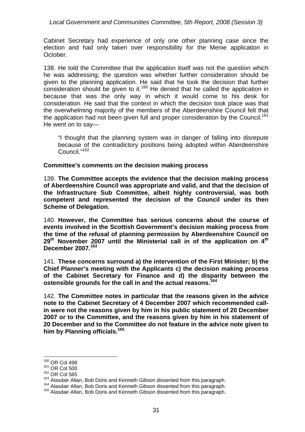*Local Government and Communities Committee, 5th Report, 2008 (Session 3)* 

Cabinet Secretary had experience of only one other planning case since the election and had only taken over responsibility for the Menie application in October.

138. He told the Committee that the application itself was not the question which he was addressing; the question was whether further consideration should be given to the planning application. He said that he took the decision that further consideration should be given to it.<sup>160</sup> He denied that he called the application in because that was the only way in which it would come to his desk for consideration. He said that the context in which the decision took place was that the overwhelming majority of the members of the Aberdeenshire Council felt that the application had not been given full and proper consideration by the Council.<sup>161</sup> He went on to say—

"I thought that the planning system was in danger of falling into disrepute because of the contradictory positions being adopted within Aberdeenshire Council."<sup>162</sup>

#### **Committee's comments on the decision making process**

139. **The Committee accepts the evidence that the decision making process of Aberdeenshire Council was appropriate and valid, and that the decision of the Infrastructure Sub Committee, albeit highly controversial, was both competent and represented the decision of the Council under its then Scheme of Delegation.** 

140. **However, the Committee has serious concerns about the course of events involved in the Scottish Government's decision making process from the time of the refusal of planning permission by Aberdeenshire Council on 29th November 2007 until the Ministerial call in of the application on 4th December 2007.<sup>163</sup>**

141. **These concerns surround a) the intervention of the First Minister; b) the Chief Planner's meeting with the Applicants c) the decision making process of the Cabinet Secretary for Finance and d) the disparity between the ostensible grounds for the call in and the actual reasons.164**

142. **The Committee notes in particular that the reasons given in the advice note to the Cabinet Secretary of 4 December 2007 which recommended callin were not the reasons given by him in his public statement of 20 December 2007 or to the Committee, and the reasons given by him in his statement of 20 December and to the Committee do not feature in the advice note given to him by Planning officials.165**

<sup>160</sup> OR Col 498

<sup>161</sup> OR Col 500

<sup>162</sup> OR Col 565<br><sup>163</sup> Alasdair Allan, Bob Doris and Kenneth Gibson dissented from this paragraph.

<sup>&</sup>lt;sup>164</sup> Alasdair Allan, Bob Doris and Kenneth Gibson dissented from this paragraph.<br><sup>165</sup> Alasdair Allan, Bob Doris and Kenneth Gibson dissented from this paragraph.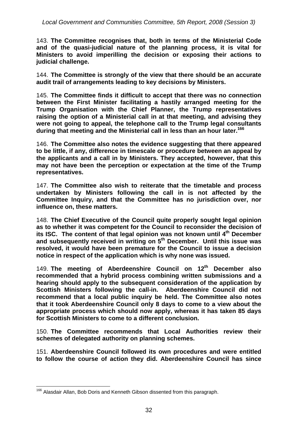143. **The Committee recognises that, both in terms of the Ministerial Code and of the quasi-judicial nature of the planning process, it is vital for Ministers to avoid imperilling the decision or exposing their actions to judicial challenge.** 

144. **The Committee is strongly of the view that there should be an accurate audit trail of arrangements leading to key decisions by Ministers.** 

145. **The Committee finds it difficult to accept that there was no connection between the First Minister facilitating a hastily arranged meeting for the Trump Organisation with the Chief Planner, the Trump representatives raising the option of a Ministerial call in at that meeting, and advising they were not going to appeal, the telephone call to the Trump legal consultants during that meeting and the Ministerial call in less than an hour later.166**

146. **The Committee also notes the evidence suggesting that there appeared to be little, if any, difference in timescale or procedure between an appeal by the applicants and a call in by Ministers. They accepted, however, that this may not have been the perception or expectation at the time of the Trump representatives.** 

147. **The Committee also wish to reiterate that the timetable and process undertaken by Ministers following the call in is not affected by the Committee Inquiry, and that the Committee has no jurisdiction over, nor influence on, these matters.** 

148. **The Chief Executive of the Council quite properly sought legal opinion as to whether it was competent for the Council to reconsider the decision of its ISC. The content of that legal opinion was not known until 4th December and subsequently received in writing on 5th December. Until this issue was resolved, it would have been premature for the Council to issue a decision notice in respect of the application which is why none was issued.** 

149. **The meeting of Aberdeenshire Council on 12th December also recommended that a hybrid process combining written submissions and a hearing should apply to the subsequent consideration of the application by Scottish Ministers following the call-in. Aberdeenshire Council did not recommend that a local public inquiry be held. The Committee also notes that it took Aberdeenshire Council only 8 days to come to a view about the appropriate process which should now apply, whereas it has taken 85 days for Scottish Ministers to come to a different conclusion.** 

150. **The Committee recommends that Local Authorities review their schemes of delegated authority on planning schemes.** 

151. **Aberdeenshire Council followed its own procedures and were entitled to follow the course of action they did. Aberdeenshire Council has since** 

<sup>1</sup> <sup>166</sup> Alasdair Allan, Bob Doris and Kenneth Gibson dissented from this paragraph.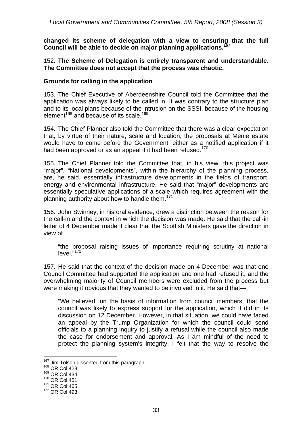**changed its scheme of delegation with a view to ensuring that the full Council will be able to decide on major planning applications.167** 

#### 152. **The Scheme of Delegation is entirely transparent and understandable. The Committee does not accept that the process was chaotic.**

#### **Grounds for calling in the application**

153. The Chief Executive of Aberdeenshire Council told the Committee that the application was always likely to be called in. It was contrary to the structure plan and to its local plans because of the intrusion on the SSSI, because of the housing element<sup>168</sup> and because of its scale.<sup>169</sup>

154. The Chief Planner also told the Committee that there was a clear expectation that, by virtue of their nature, scale and location, the proposals at Menie estate would have to come before the Government, either as a notified application if it had been approved or as an appeal if it had been refused.<sup>170</sup>

155. The Chief Planner told the Committee that, in his view, this project was "major". "National developments", within the hierarchy of the planning process, are, he said, essentially infrastructure developments in the fields of transport, energy and environmental infrastructure. He said that "major" developments are essentially speculative applications of a scale which requires agreement with the planning authority about how to handle them.<sup>171</sup>

156. John Swinney, in his oral evidence, drew a distinction between the reason for the call-in and the context in which the decision was made. He said that the call-in letter of 4 December made it clear that the Scottish Ministers gave the direction in view of

"the proposal raising issues of importance requiring scrutiny at national level."<sup>172</sup>

157. He said that the context of the decision made on 4 December was that one Council Committee had supported the application and one had refused it, and the overwhelming majority of Council members were excluded from the process but were making it obvious that they wanted to be involved in it. He said that—

"We believed, on the basis of information from council members, that the council was likely to express support for the application, which it did in its discussion on 12 December. However, in that situation, we could have faced an appeal by the Trump Organization for which the council could send officials to a planning inquiry to justify a refusal while the council also made the case for endorsement and approval. As I am mindful of the need to protect the planning system's integrity, I felt that the way to resolve the

<sup>&</sup>lt;sup>167</sup> Jim Tolson dissented from this paragraph.<br><sup>168</sup> OR Col 428

 $168$  OR Col 428<br> $169$  OR Col 434

<sup>170</sup> OR Col 451

<sup>171</sup> OR Col 465

<sup>172</sup> OR Col 493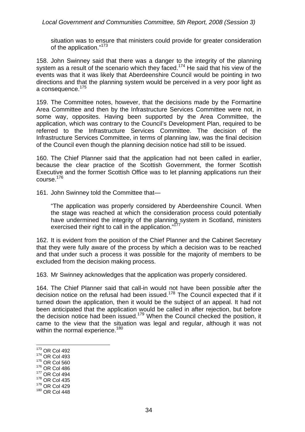#### *Local Government and Communities Committee, 5th Report, 2008 (Session 3)*

situation was to ensure that ministers could provide for greater consideration of the application."<sup>173</sup>

158. John Swinney said that there was a danger to the integrity of the planning system as a result of the scenario which they faced.<sup>174</sup> He said that his view of the events was that it was likely that Aberdeenshire Council would be pointing in two directions and that the planning system would be perceived in a very poor light as a consequence. $175$ 

159. The Committee notes, however, that the decisions made by the Formartine Area Committee and then by the Infrastructure Services Committee were not, in some way, opposites. Having been supported by the Area Committee, the application, which was contrary to the Council's Development Plan, required to be referred to the Infrastructure Services Committee. The decision of the Infrastructure Services Committee, in terms of planning law, was the final decision of the Council even though the planning decision notice had still to be issued.

160. The Chief Planner said that the application had not been called in earlier, because the clear practice of the Scottish Government, the former Scottish Executive and the former Scottish Office was to let planning applications run their course.176

161. John Swinney told the Committee that—

"The application was properly considered by Aberdeenshire Council. When the stage was reached at which the consideration process could potentially have undermined the integrity of the planning system in Scotland, ministers exercised their right to call in the application."<sup>177</sup>

162. It is evident from the position of the Chief Planner and the Cabinet Secretary that they were fully aware of the process by which a decision was to be reached and that under such a process it was possible for the majority of members to be excluded from the decision making process.

163. Mr Swinney acknowledges that the application was properly considered.

164. The Chief Planner said that call-in would not have been possible after the decision notice on the refusal had been issued.<sup>178</sup> The Council expected that if it turned down the application, then it would be the subject of an appeal. It had not been anticipated that the application would be called in after rejection, but before the decision notice had been issued.<sup>179</sup> When the Council checked the position, it came to the view that the situation was legal and regular, although it was not within the normal experience.<sup>180</sup>

- <u>.</u> 173 OR Col 492
- 174 OR Col 493
- 175 OR Col 560
- 176 OR Col 486
- 177 OR Col 494
- 178 OR Col 435 179 OR Col 429
- 180 OR Col 448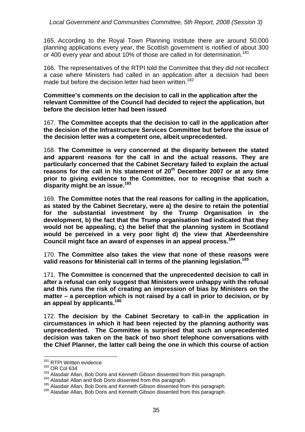165. According to the Royal Town Planning Institute there are around 50,000 planning applications every year, the Scottish government is notified of about 300 or 400 every year and about 10% of those are called in for determination.<sup>181</sup>

166. The representatives of the RTPI told the Committee that they did not recollect a case where Ministers had called in an application after a decision had been made but before the decision letter had been written.<sup>182</sup>

**Committee's comments on the decision to call in the application after the relevant Committee of the Council had decided to reject the application, but before the decision letter had been issued** 

167. **The Committee accepts that the decision to call in the application after the decision of the Infrastructure Services Committee but before the issue of the decision letter was a competent one, albeit unprecedented.** 

168. **The Committee is very concerned at the disparity between the stated and apparent reasons for the call in and the actual reasons. They are particularly concerned that the Cabinet Secretary failed to explain the actual reasons for the call in his statement of 20th December 2007 or at any time prior to giving evidence to the Committee, nor to recognise that such a disparity might be an issue.183**

169. **The Committee notes that the real reasons for calling in the application, as stated by the Cabinet Secretary, were a) the desire to retain the potential for the substantial investment by the Trump Organisation in the development, b) the fact that the Trump organisation had indicated that they would not be appealing, c) the belief that the planning system in Scotland would be perceived in a very poor light d) the view that Aberdeenshire Council might face an award of expenses in an appeal process.184**

170. **The Committee also takes the view that none of these reasons were valid reasons for Ministerial call in terms of the planning legislation.185**

171. **The Committee is concerned that the unprecedented decision to call in after a refusal can only suggest that Ministers were unhappy with the refusal and this runs the risk of creating an impression of bias by Ministers on the matter – a perception which is not raised by a call in prior to decision, or by an appeal by applicants.186**

172. **The decision by the Cabinet Secretary to call-in the application in circumstances in which it had been rejected by the planning authority was unprecedented. The Committee is surprised that such an unprecedented decision was taken on the back of two short telephone conversations with the Chief Planner, the latter call being the one in which this course of action** 

<sup>&</sup>lt;sup>181</sup> RTPI Written evidence

<sup>&</sup>lt;sup>182</sup> OR Col 634<br><sup>183</sup> Alasdair Allan, Bob Doris and Kenneth Gibson dissented from this paragraph.

<sup>&</sup>lt;sup>184</sup> Alasdair Allan and Bob Doris dissented from this paragraph.<br><sup>185</sup> Alasdair Allan, Bob Doris and Kenneth Gibson dissented from this paragraph.<br><sup>186</sup> Alasdair Allan, Bob Doris and Kenneth Gibson dissented from this par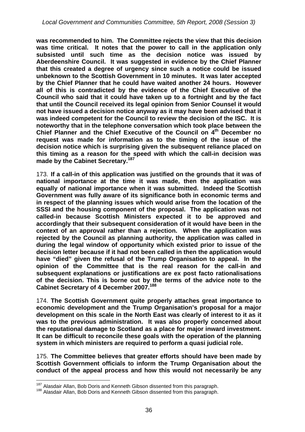**was recommended to him. The Committee rejects the view that this decision was time critical. It notes that the power to call in the application only subsisted until such time as the decision notice was issued by Aberdeenshire Council. It was suggested in evidence by the Chief Planner that this created a degree of urgency since such a notice could be issued unbeknown to the Scottish Government in 10 minutes. It was later accepted by the Chief Planner that he could have waited another 24 hours. However all of this is contradicted by the evidence of the Chief Executive of the Council who said that it could have taken up to a fortnight and by the fact that until the Council received its legal opinion from Senior Counsel it would not have issued a decision notice anyway as it may have been advised that it was indeed competent for the Council to review the decision of the ISC. It is noteworthy that in the telephone conversation which took place between the**  Chief Planner and the Chief Executive of the Council on 4<sup>th</sup> December no **request was made for information as to the timing of the issue of the decision notice which is surprising given the subsequent reliance placed on this timing as a reason for the speed with which the call-in decision was made by the Cabinet Secretary.187** 

173. **If a call-in of this application was justified on the grounds that it was of national importance at the time it was made, then the application was equally of national importance when it was submitted. Indeed the Scottish Government was fully aware of its significance both in economic terms and in respect of the planning issues which would arise from the location of the SSSI and the housing component of the proposal. The application was not called-in because Scottish Ministers expected it to be approved and accordingly that their subsequent consideration of it would have been in the context of an approval rather than a rejection. When the application was rejected by the Council as planning authority, the application was called in during the legal window of opportunity which existed prior to issue of the decision letter because if it had not been called in then the application would have "died" given the refusal of the Trump Organisation to appeal. In the opinion of the Committee that is the real reason for the call-in and subsequent explanations or justifications are ex post facto rationalisations of the decision. This is borne out by the terms of the advice note to the Cabinet Secretary of 4 December 2007.188**

174. **The Scottish Government quite properly attaches great importance to economic development and the Trump Organisation's proposal for a major development on this scale in the North East was clearly of interest to it as it was to the previous administration. It was also properly concerned about the reputational damage to Scotland as a place for major inward investment. It can be difficult to reconcile these goals with the operation of the planning system in which ministers are required to perform a quasi judicial role.** 

175. **The Committee believes that greater efforts should have been made by Scottish Government officials to inform the Trump Organisation about the conduct of the appeal process and how this would not necessarily be any** 

<sup>1</sup> 

<sup>&</sup>lt;sup>187</sup> Alasdair Allan, Bob Doris and Kenneth Gibson dissented from this paragraph.<br><sup>188</sup> Alasdair Allan, Bob Doris and Kenneth Gibson dissented from this paragraph.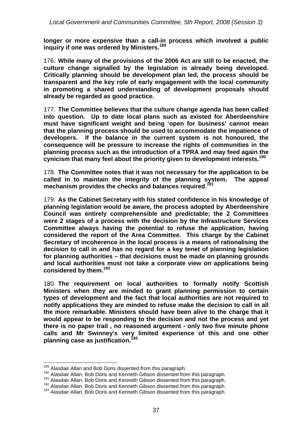**longer or more expensive than a call-in process which involved a public inquiry if one was ordered by Ministers.189**

176. **While many of the provisions of the 2006 Act are still to be enacted, the culture change signalled by the legislation is already being developed. Critically planning should be development plan led, the process should be transparent and the key role of early engagement with the local community in promoting a shared understanding of development proposals should already be regarded as good practice.** 

177. **The Committee believes that the culture change agenda has been called into question. Up to date local plans such as existed for Aberdeenshire must have significant weight and being 'open for business' cannot mean that the planning process should be used to accommodate the impatience of developers. If the balance in the current system is not honoured, the consequence will be pressure to increase the rights of communities in the planning process such as the introduction of a TPRA and may feed again the cynicism that many feel about the priority given to development interests.190**

178. **The Committee notes that it was not necessary for the application to be called in to maintain the integrity of the planning system. The appeal mechanism provides the checks and balances required.<sup>191</sup>**

179. **As the Cabinet Secretary with his stated confidence in his knowledge of planning legislation would be aware, the process adopted by Aberdeenshire Council was entirely comprehensible and predictable; the 2 Committees were 2 stages of a process with the decision by the Infrastructure Services Committee always having the potential to refuse the application, having considered the report of the Area Committee. This charge by the Cabinet Secretary of incoherence in the local process is a means of rationalising the decision to call in and has no regard for a key tenet of planning legislation for planning authorities – that decisions must be made on planning grounds and local authorities must not take a corporate view on applications being considered by them.192**

180. **The requirement on local authorities to formally notify Scottish Ministers when they are minded to grant planning permission to certain types of development and the fact that local authorities are not required to notify applications they are minded to refuse make the decision to call in all the more remarkable. Ministers should have been alive to the charge that it would appear to be responding to the decision and not the process and yet there is no paper trail , no reasoned argument - only two five minute phone calls and Mr Swinney's very limited experience of this and one other planning case as justification.193**

<sup>&</sup>lt;sup>189</sup> Alasdair Allan and Bob Doris dissented from this paragraph.

<sup>&</sup>lt;sup>190</sup> Alasdair Allan, Bob Doris and Kenneth Gibson dissented from this paragraph.<br><sup>191</sup> Alasdair Allan, Bob Doris and Kenneth Gibson dissented from this paragraph.<br><sup>192</sup> Alasdair Allan, Bob Doris and Kenneth Gibson dissent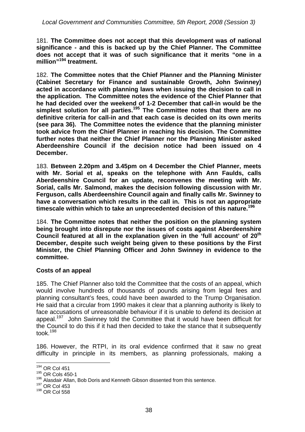181. **The Committee does not accept that this development was of national significance - and this is backed up by the Chief Planner. The Committee does not accept that it was of such significance that it merits "one in a million"194 treatment.** 

182. **The Committee notes that the Chief Planner and the Planning Minister (Cabinet Secretary for Finance and sustainable Growth, John Swinney) acted in accordance with planning laws when issuing the decision to call in the application. The Committee notes the evidence of the Chief Planner that he had decided over the weekend of 1-2 December that call-in would be the simplest solution for all parties.195 The Committee notes that there are no definitive criteria for call-in and that each case is decided on its own merits (see para 36). The Committee notes the evidence that the planning minister took advice from the Chief Planner in reaching his decision. The Committee further notes that neither the Chief Planner nor the Planning Minister asked Aberdeenshire Council if the decision notice had been issued on 4 December.** 

183. **Between 2.20pm and 3.45pm on 4 December the Chief Planner, meets with Mr. Sorial et al, speaks on the telephone with Ann Faulds, calls Aberdeenshire Council for an update, reconvenes the meeting with Mr. Sorial, calls Mr. Salmond, makes the decision following discussion with Mr. Ferguson, calls Aberdeenshire Council again and finally calls Mr. Swinney to have a conversation which results in the call in. This is not an appropriate timescale within which to take an unprecedented decision of this nature.<sup>196</sup>**

184. **The Committee notes that neither the position on the planning system being brought into disrepute nor the issues of costs against Aberdeenshire Council featured at all in the explanation given in the 'full account' of 20th December, despite such weight being given to these positions by the First Minister, the Chief Planning Officer and John Swinney in evidence to the committee.** 

## **Costs of an appeal**

185. The Chief Planner also told the Committee that the costs of an appeal, which would involve hundreds of thousands of pounds arising from legal fees and planning consultant's fees, could have been awarded to the Trump Organisation. He said that a circular from 1990 makes it clear that a planning authority is likely to face accusations of unreasonable behaviour if it is unable to defend its decision at appeal.<sup>197</sup> John Swinney told the Committee that it would have been difficult for the Council to do this if it had then decided to take the stance that it subsequently took.<sup>198</sup>

186. However, the RTPI, in its oral evidence confirmed that it saw no great difficulty in principle in its members, as planning professionals, making a

<sup>1</sup> 194 OR Col 451

<sup>195</sup> OR Cols 450-1

<sup>&</sup>lt;sup>196</sup> Alasdair Allan, Bob Doris and Kenneth Gibson dissented from this sentence.

<sup>197</sup> OR Col 453

<sup>198</sup> OR Col 558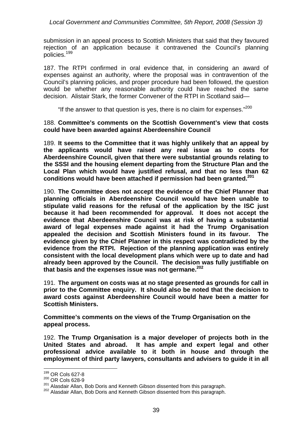*Local Government and Communities Committee, 5th Report, 2008 (Session 3)* 

submission in an appeal process to Scottish Ministers that said that they favoured rejection of an application because it contravened the Council's planning policies.<sup>199</sup>

187. The RTPI confirmed in oral evidence that, in considering an award of expenses against an authority, where the proposal was in contravention of the Council's planning policies, and proper procedure had been followed, the question would be whether any reasonable authority could have reached the same decision. Alistair Stark, the former Convener of the RTPI in Scotland said—

"If the answer to that question is yes, there is no claim for expenses."<sup>200</sup>

#### 188. **Committee's comments on the Scottish Government's view that costs could have been awarded against Aberdeenshire Council**

189. **It seems to the Committee that it was highly unlikely that an appeal by the applicants would have raised any real issue as to costs for Aberdeenshire Council, given that there were substantial grounds relating to the SSSI and the housing element departing from the Structure Plan and the Local Plan which would have justified refusal, and that no less than 62 conditions would have been attached if permission had been granted.201**

190. **The Committee does not accept the evidence of the Chief Planner that planning officials in Aberdeenshire Council would have been unable to stipulate valid reasons for the refusal of the application by the ISC just because it had been recommended for approval. It does not accept the evidence that Aberdeenshire Council was at risk of having a substantial award of legal expenses made against it had the Trump Organisation appealed the decision and Scottish Ministers found in its favour. The evidence given by the Chief Planner in this respect was contradicted by the evidence from the RTPI. Rejection of the planning application was entirely consistent with the local development plans which were up to date and had already been approved by the Council. The decision was fully justifiable on that basis and the expenses issue was not germane.202**

191. **The argument on costs was at no stage presented as grounds for call in prior to the Committee enquiry. It should also be noted that the decision to award costs against Aberdeenshire Council would have been a matter for Scottish Ministers.** 

**Committee's comments on the views of the Trump Organisation on the appeal process.** 

192. **The Trump Organisation is a major developer of projects both in the United States and abroad. It has ample and expert legal and other professional advice available to it both in house and through the employment of third party lawyers, consultants and advisers to guide it in all** 

<sup>199</sup> OR Cols 627-8

<sup>&</sup>lt;sup>200</sup> OR Cols 628-9<br><sup>201</sup> Alasdair Allan. Bob Doris and Kenneth Gibson dissented from this paragraph.

<sup>202</sup> Alasdair Allan, Bob Doris and Kenneth Gibson dissented from this paragraph.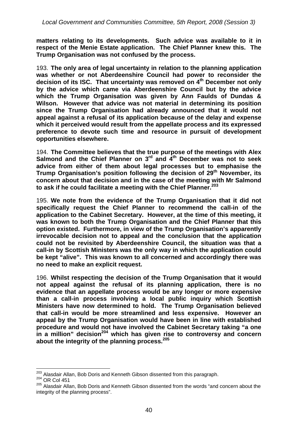**matters relating to its developments. Such advice was available to it in respect of the Menie Estate application. The Chief Planner knew this. The Trump Organisation was not confused by the process.** 

193. **The only area of legal uncertainty in relation to the planning application was whether or not Aberdeenshire Council had power to reconsider the**  decision of its ISC. That uncertainty was removed on 4<sup>th</sup> December not only **by the advice which came via Aberdeenshire Council but by the advice which the Trump Organisation was given by Ann Faulds of Dundas & Wilson. However that advice was not material in determining its position since the Trump Organisation had already announced that it would not appeal against a refusal of its application because of the delay and expense which it perceived would result from the appellate process and its expressed preference to devote such time and resource in pursuit of development opportunities elsewhere.** 

194. **The Committee believes that the true purpose of the meetings with Alex**  Salmond and the Chief Planner on 3<sup>rd</sup> and 4<sup>th</sup> December was not to seek **advice from either of them about legal processes but to emphasise the**  Trump Organisation's position following the decision of 29<sup>th</sup> November, its **concern about that decision and in the case of the meeting with Mr Salmond to ask if he could facilitate a meeting with the Chief Planner.203** 

195. **We note from the evidence of the Trump Organisation that it did not specifically request the Chief Planner to recommend the call-in of the application to the Cabinet Secretary. However, at the time of this meeting, it was known to both the Trump Organisation and the Chief Planner that this option existed. Furthermore, in view of the Trump Organisation's apparently irrevocable decision not to appeal and the conclusion that the application could not be revisited by Aberdeenshire Council, the situation was that a call-in by Scottish Ministers was the only way in which the application could be kept "alive". This was known to all concerned and accordingly there was no need to make an explicit request.** 

196. **Whilst respecting the decision of the Trump Organisation that it would not appeal against the refusal of its planning application, there is no evidence that an appellate process would be any longer or more expensive than a call-in process involving a local public inquiry which Scottish Ministers have now determined to hold. The Trump Organisation believed that call-in would be more streamlined and less expensive. However an appeal by the Trump Organisation would have been in line with established procedure and would not have involved the Cabinet Secretary taking "a one**  in a million" decision<sup>204</sup> which has given rise to controversy and concern **about the integrity of the planning process.205** 

<sup>&</sup>lt;sup>203</sup> Alasdair Allan, Bob Doris and Kenneth Gibson dissented from this paragraph.<br><sup>204</sup> OR Col 451

 $204$  OR Col 451<br> $205$  Alasdair Allan, Bob Doris and Kenneth Gibson dissented from the words "and concern about the integrity of the planning process".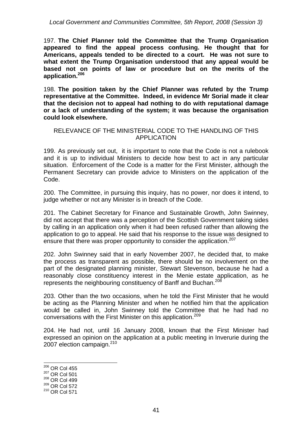*Local Government and Communities Committee, 5th Report, 2008 (Session 3)* 

197. **The Chief Planner told the Committee that the Trump Organisation appeared to find the appeal process confusing. He thought that for Americans, appeals tended to be directed to a court. He was not sure to what extent the Trump Organisation understood that any appeal would be based not on points of law or procedure but on the merits of the application.<sup>206</sup>**

198. **The position taken by the Chief Planner was refuted by the Trump representative at the Committee. Indeed, in evidence Mr Sorial made it clear that the decision not to appeal had nothing to do with reputational damage or a lack of understanding of the system; it was because the organisation could look elsewhere.** 

#### RELEVANCE OF THE MINISTERIAL CODE TO THE HANDLING OF THIS APPLICATION

199. As previously set out, it is important to note that the Code is not a rulebook and it is up to individual Ministers to decide how best to act in any particular situation. Enforcement of the Code is a matter for the First Minister, although the Permanent Secretary can provide advice to Ministers on the application of the Code.

200. The Committee, in pursuing this inquiry, has no power, nor does it intend, to judge whether or not any Minister is in breach of the Code.

201. The Cabinet Secretary for Finance and Sustainable Growth, John Swinney, did not accept that there was a perception of the Scottish Government taking sides by calling in an application only when it had been refused rather than allowing the application to go to appeal. He said that his response to the issue was designed to ensure that there was proper opportunity to consider the application.<sup>207</sup>

202. John Swinney said that in early November 2007, he decided that, to make the process as transparent as possible, there should be no involvement on the part of the designated planning minister, Stewart Stevenson, because he had a reasonably close constituency interest in the Menie estate application, as he represents the neighbouring constituency of Banff and Buchan.<sup>208</sup>

203. Other than the two occasions, when he told the First Minister that he would be acting as the Planning Minister and when he notified him that the application would be called in, John Swinney told the Committee that he had had no conversations with the First Minister on this application.<sup>209</sup>

204. He had not, until 16 January 2008, known that the First Minister had expressed an opinion on the application at a public meeting in Inverurie during the 2007 election campaign. $210$ 

 $206$  OR Col 455

<sup>&</sup>lt;sup>207</sup> OR Col 501

<sup>208</sup> OR Col 499

<sup>209</sup> OR Col 572

<sup>210</sup> OR Col 571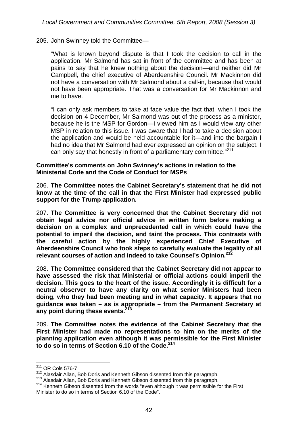205. John Swinney told the Committee—

"What is known beyond dispute is that I took the decision to call in the application. Mr Salmond has sat in front of the committee and has been at pains to say that he knew nothing about the decision—and neither did Mr Campbell, the chief executive of Aberdeenshire Council. Mr Mackinnon did not have a conversation with Mr Salmond about a call-in, because that would not have been appropriate. That was a conversation for Mr Mackinnon and me to have.

"I can only ask members to take at face value the fact that, when I took the decision on 4 December, Mr Salmond was out of the process as a minister, because he is the MSP for Gordon—I viewed him as I would view any other MSP in relation to this issue. I was aware that I had to take a decision about the application and would be held accountable for it—and into the bargain I had no idea that Mr Salmond had ever expressed an opinion on the subject. I can only say that honestly in front of a parliamentary committee."<sup>211</sup>

#### **Committee's comments on John Swinney's actions in relation to the Ministerial Code and the Code of Conduct for MSPs**

206. **The Committee notes the Cabinet Secretary's statement that he did not know at the time of the call in that the First Minister had expressed public support for the Trump application.** 

207. **The Committee is very concerned that the Cabinet Secretary did not obtain legal advice nor official advice in written form before making a decision on a complex and unprecedented call in which could have the potential to imperil the decision, and taint the process. This contrasts with the careful action by the highly experienced Chief Executive of Aberdeenshire Council who took steps to carefully evaluate the legality of all relevant courses of action and indeed to take Counsel's Opinion.212**

208. **The Committee considered that the Cabinet Secretary did not appear to have assessed the risk that Ministerial or official actions could imperil the decision. This goes to the heart of the issue. Accordingly it is difficult for a neutral observer to have any clarity on what senior Ministers had been doing, who they had been meeting and in what capacity. It appears that no guidance was taken – as is appropriate – from the Permanent Secretary at**  any point during these events.<sup>2</sup>

209. **The Committee notes the evidence of the Cabinet Secretary that the First Minister had made no representations to him on the merits of the planning application even although it was permissible for the First Minister to do so in terms of Section 6.10 of the Code.214** 

 $^{211}$  OR Cols 576-7

<sup>&</sup>lt;sup>212</sup> Alasdair Allan, Bob Doris and Kenneth Gibson dissented from this paragraph.<br><sup>213</sup> Alasdair Allan, Bob Doris and Kenneth Gibson dissented from this paragraph.<br><sup>214</sup> Kenneth Gibson dissented from the words "even althou Minister to do so in terms of Section 6.10 of the Code".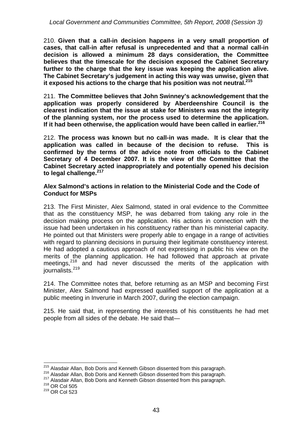210. **Given that a call-in decision happens in a very small proportion of cases, that call-in after refusal is unprecedented and that a normal call-in decision is allowed a minimum 28 days consideration, the Committee believes that the timescale for the decision exposed the Cabinet Secretary further to the charge that the key issue was keeping the application alive. The Cabinet Secretary's judgement in acting this way was unwise, given that it exposed his actions to the charge that his position was not neutral.215**

211. **The Committee believes that John Swinney's acknowledgement that the application was properly considered by Aberdeenshire Council is the clearest indication that the issue at stake for Ministers was not the integrity of the planning system, nor the process used to determine the application.**  If it had been otherwise, the application would have been called in earlier.<sup>216</sup>

212. **The process was known but no call-in was made. It is clear that the application was called in because of the decision to refuse. This is confirmed by the terms of the advice note from officials to the Cabinet Secretary of 4 December 2007. It is the view of the Committee that the Cabinet Secretary acted inappropriately and potentially opened his decision to legal challenge.217**

#### **Alex Salmond's actions in relation to the Ministerial Code and the Code of Conduct for MSPs**

213. The First Minister, Alex Salmond, stated in oral evidence to the Committee that as the constituency MSP, he was debarred from taking any role in the decision making process on the application. His actions in connection with the issue had been undertaken in his constituency rather than his ministerial capacity. He pointed out that Ministers were properly able to engage in a range of activities with regard to planning decisions in pursuing their legitimate constituency interest. He had adopted a cautious approach of not expressing in public his view on the merits of the planning application. He had followed that approach at private merits of the planning application. He had followed that approach at private meetings,<sup>218</sup> and had never discussed the merits of the application with journalists.<sup>219</sup>

214. The Committee notes that, before returning as an MSP and becoming First Minister, Alex Salmond had expressed qualified support of the application at a public meeting in Inverurie in March 2007, during the election campaign.

215. He said that, in representing the interests of his constituents he had met people from all sides of the debate. He said that—

<sup>&</sup>lt;sup>215</sup> Alasdair Allan, Bob Doris and Kenneth Gibson dissented from this paragraph.

<sup>&</sup>lt;sup>216</sup> Alasdair Allan, Bob Doris and Kenneth Gibson dissented from this paragraph.<br><sup>217</sup> Alasdair Allan, Bob Doris and Kenneth Gibson dissented from this paragraph.<br><sup>218</sup> OR Col 505

<sup>219</sup> OR Col 523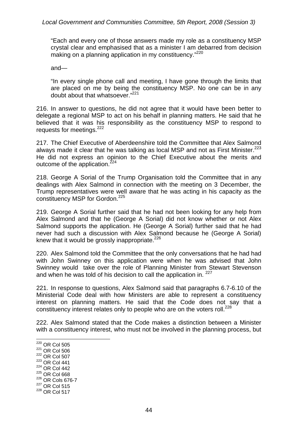"Each and every one of those answers made my role as a constituency MSP crystal clear and emphasised that as a minister I am debarred from decision making on a planning application in my constituency."<sup>220</sup>

and—

"In every single phone call and meeting, I have gone through the limits that are placed on me by being the constituency MSP. No one can be in any doubt about that whatsoever."<sup>221</sup>

216. In answer to questions, he did not agree that it would have been better to delegate a regional MSP to act on his behalf in planning matters. He said that he believed that it was his responsibility as the constituency MSP to respond to requests for meetings.<sup>222</sup>

217. The Chief Executive of Aberdeenshire told the Committee that Alex Salmond always made it clear that he was talking as local MSP and not as First Minister.<sup>223</sup> He did not express an opinion to the Chief Executive about the merits and outcome of the application.<sup>224</sup>

218. George A Sorial of the Trump Organisation told the Committee that in any dealings with Alex Salmond in connection with the meeting on 3 December, the Trump representatives were well aware that he was acting in his capacity as the constituency MSP for Gordon.<sup>225</sup>

219. George A Sorial further said that he had not been looking for any help from Alex Salmond and that he (George A Sorial) did not know whether or not Alex Salmond supports the application. He (George A Sorial) further said that he had never had such a discussion with Alex Salmond because he (George A Sorial) knew that it would be grossly inappropriate. $226$ 

220. Alex Salmond told the Committee that the only conversations that he had had with John Swinney on this application were when he was advised that John Swinney would take over the role of Planning Minister from Stewart Stevenson and when he was told of his decision to call the application in. <sup>227</sup>

221. In response to questions, Alex Salmond said that paragraphs 6.7-6.10 of the Ministerial Code deal with how Ministers are able to represent a constituency interest on planning matters. He said that the Code does not say that a constituency interest relates only to people who are on the voters roll.<sup>228</sup>

222. Alex Salmond stated that the Code makes a distinction between a Minister with a constituency interest, who must not be involved in the planning process, but

1  $220$  OR Col 505 221 OR Col 506 222 OR Col 507 223 OR Col 441 224 OR Col 442 225 OR Col 668 226 OR Cols 676-7 227 OR Col 515 228 OR Col 517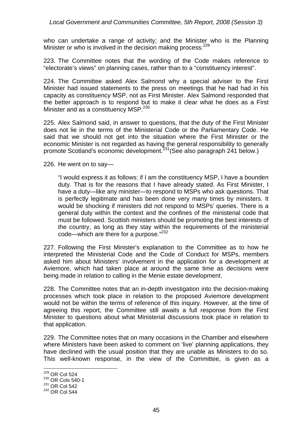who can undertake a range of activity; and the Minister who is the Planning Minister or who is involved in the decision making process.<sup>229</sup>

223. The Committee notes that the wording of the Code makes reference to "electorate's views" on planning cases, rather than to a "constituency interest".

224. The Committee asked Alex Salmond why a special adviser to the First Minister had issued statements to the press on meetings that he had had in his capacity as constituency MSP, not as First Minister. Alex Salmond responded that the better approach is to respond but to make it clear what he does as a First Minister and as a constituency MSP.<sup>230</sup>

225. Alex Salmond said, in answer to questions, that the duty of the First Minister does not lie in the terms of the Ministerial Code or the Parliamentary Code. He said that we should not get into the situation where the First Minister or the economic Minister is not regarded as having the general responsibility to generally promote Scotland's economic development.<sup>231</sup> (See also paragraph 241 below.)

226. He went on to say—

"I would express it as follows: if I am the constituency MSP, I have a bounden duty. That is for the reasons that I have already stated. As First Minister, I have a duty—like any minister—to respond to MSPs who ask questions. That is perfectly legitimate and has been done very many times by ministers. It would be shocking if ministers did not respond to MSPs' queries. There is a general duty within the context and the confines of the ministerial code that must be followed. Scottish ministers should be promoting the best interests of the country, as long as they stay within the requirements of the ministerial code—which are there for a purpose."<sup>232</sup>

227. Following the First Minister's explanation to the Committee as to how he interpreted the Ministerial Code and the Code of Conduct for MSPs, members asked him about Ministers' involvement in the application for a development at Aviemore, which had taken place at around the same time as decisions were being made in relation to calling in the Menie estate development.

228. The Committee notes that an in-depth investigation into the decision-making processes which took place in relation to the proposed Aviemore development would not be within the terms of reference of this inquiry. However, at the time of agreeing this report, the Committee still awaits a full response from the First Minister to questions about what Ministerial discussions took place in relation to that application.

229. The Committee notes that on many occasions in the Chamber and elsewhere where Ministers have been asked to comment on 'live' planning applications, they have declined with the usual position that they are unable as Ministers to do so. This well-known response, in the view of the Committee, is given as a

<sup>1</sup>  $^{229}$  OR Col 524

<sup>230</sup> OR Cols 540-1

<sup>231</sup> OR Col 542

<sup>232</sup> OR Col 544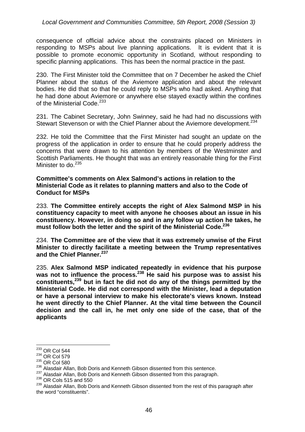consequence of official advice about the constraints placed on Ministers in responding to MSPs about live planning applications. It is evident that it is possible to promote economic opportunity in Scotland, without responding to specific planning applications. This has been the normal practice in the past.

230. The First Minister told the Committee that on 7 December he asked the Chief Planner about the status of the Aviemore application and about the relevant bodies. He did that so that he could reply to MSPs who had asked. Anything that he had done about Aviemore or anywhere else stayed exactly within the confines of the Ministerial Code.<sup>233</sup>

231. The Cabinet Secretary, John Swinney, said he had had no discussions with Stewart Stevenson or with the Chief Planner about the Aviemore development.<sup>234</sup>

232. He told the Committee that the First Minister had sought an update on the progress of the application in order to ensure that he could properly address the concerns that were drawn to his attention by members of the Westminster and Scottish Parliaments. He thought that was an entirely reasonable thing for the First Minister to do. $235$ 

**Committee's comments on Alex Salmond's actions in relation to the Ministerial Code as it relates to planning matters and also to the Code of Conduct for MSPs** 

233. **The Committee entirely accepts the right of Alex Salmond MSP in his constituency capacity to meet with anyone he chooses about an issue in his constituency. However, in doing so and in any follow up action he takes, he must follow both the letter and the spirit of the Ministerial Code.236**

234. **The Committee are of the view that it was extremely unwise of the First Minister to directly facilitate a meeting between the Trump representatives and the Chief Planner.237** 

235. **Alex Salmond MSP indicated repeatedly in evidence that his purpose was not to influence the process.238 He said his purpose was to assist his constituents,239 but in fact he did not do any of the things permitted by the Ministerial Code. He did not correspond with the Minister, lead a deputation or have a personal interview to make his electorate's views known. Instead he went directly to the Chief Planner. At the vital time between the Council decision and the call in, he met only one side of the case, that of the applicants** 

<sup>&</sup>lt;u>.</u>  $^{233}$  OR Col 544

<sup>&</sup>lt;sup>234</sup> OR Col 579

<sup>235</sup> OR Col 580

<sup>&</sup>lt;sup>236</sup> Alasdair Allan, Bob Doris and Kenneth Gibson dissented from this sentence.

<sup>237</sup> Alasdair Allan, Bob Doris and Kenneth Gibson dissented from this paragraph.<br><sup>238</sup> OR Cols 515 and 550

<sup>&</sup>lt;sup>239</sup> Alasdair Allan, Bob Doris and Kenneth Gibson dissented from the rest of this paragraph after the word "constituents".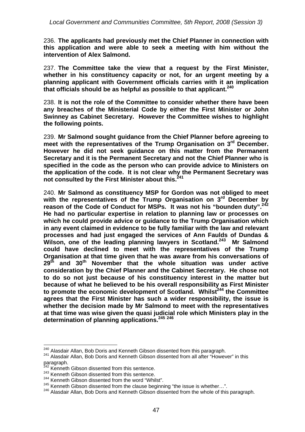236. **The applicants had previously met the Chief Planner in connection with this application and were able to seek a meeting with him without the intervention of Alex Salmond.** 

237. **The Committee take the view that a request by the First Minister, whether in his constituency capacity or not, for an urgent meeting by a planning applicant with Government officials carries with it an implication that officials should be as helpful as possible to that applicant.240**

238. **It is not the role of the Committee to consider whether there have been any breaches of the Ministerial Code by either the First Minister or John Swinney as Cabinet Secretary. However the Committee wishes to highlight the following points.** 

239. **Mr Salmond sought guidance from the Chief Planner before agreeing to**  meet with the representatives of the Trump Organisation on 3<sup>rd</sup> December. **However he did not seek guidance on this matter from the Permanent Secretary and it is the Permanent Secretary and not the Chief Planner who is specified in the code as the person who can provide advice to Ministers on the application of the code. It is not clear why the Permanent Secretary was**  not consulted by the First Minister about this.<sup>241</sup>

240. **Mr Salmond as constituency MSP for Gordon was not obliged to meet with the representatives of the Trump Organisation on 3rd December by reason of the Code of Conduct for MSPs. It was not his "bounden duty".242 He had no particular expertise in relation to planning law or processes on which he could provide advice or guidance to the Trump Organisation which in any event claimed in evidence to be fully familiar with the law and relevant processes and had just engaged the services of Ann Faulds of Dundas & Wilson, one of the leading planning lawyers in Scotland.243 Mr Salmond could have declined to meet with the representatives of the Trump Organisation at that time given that he was aware from his conversations of 29th and 30th November that the whole situation was under active consideration by the Chief Planner and the Cabinet Secretary. He chose not to do so not just because of his constituency interest in the matter but because of what he believed to be his overall responsibility as First Minister**  to promote the economic development of Scotland. Whilst<sup>244</sup> the Committee **agrees that the First Minister has such a wider responsibility, the issue is whether the decision made by Mr Salmond to meet with the representatives at that time was wise given the quasi judicial role which Ministers play in the determination of planning applications.245 246** 

<u>.</u>

<sup>&</sup>lt;sup>240</sup> Alasdair Allan, Bob Doris and Kenneth Gibson dissented from this paragraph.<br><sup>241</sup> Alasdair Allan, Bob Doris and Kenneth Gibson dissented from all after "However" in this

paragraph.

<sup>&</sup>lt;sup>242</sup> Kenneth Gibson dissented from this sentence.

<sup>&</sup>lt;sup>243</sup> Kenneth Gibson dissented from this sentence.

 $244$  Kenneth Gibson dissented from the word "Whilst".<br> $245$  Kenneth Gibson dissented from the clause beginning "the issue is whether...".

<sup>246</sup> Netherm Gibson Bob Doris and Kenneth Gibson dissented from the whole of this paragraph.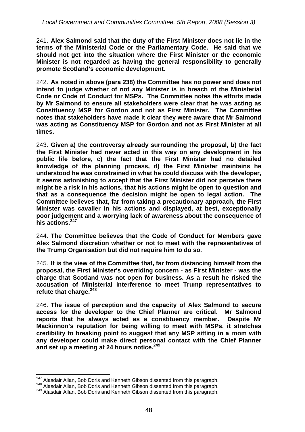241. **Alex Salmond said that the duty of the First Minister does not lie in the terms of the Ministerial Code or the Parliamentary Code. He said that we should not get into the situation where the First Minister or the economic Minister is not regarded as having the general responsibility to generally promote Scotland's economic development.** 

242. **As noted in above (para 238) the Committee has no power and does not intend to judge whether of not any Minister is in breach of the Ministerial Code or Code of Conduct for MSPs. The Committee notes the efforts made by Mr Salmond to ensure all stakeholders were clear that he was acting as Constituency MSP for Gordon and not as First Minister. The Committee notes that stakeholders have made it clear they were aware that Mr Salmond was acting as Constituency MSP for Gordon and not as First Minister at all times.** 

243. **Given a) the controversy already surrounding the proposal, b) the fact the First Minister had never acted in this way on any development in his public life before, c) the fact that the First Minister had no detailed knowledge of the planning process, d) the First Minister maintains he understood he was constrained in what he could discuss with the developer, it seems astonishing to accept that the First Minister did not perceive there might be a risk in his actions, that his actions might be open to question and that as a consequence the decision might be open to legal action. The Committee believes that, far from taking a precautionary approach, the First Minister was cavalier in his actions and displayed, at best, exceptionally poor judgement and a worrying lack of awareness about the consequence of his actions.<sup>247</sup>**

244. **The Committee believes that the Code of Conduct for Members gave Alex Salmond discretion whether or not to meet with the representatives of the Trump Organisation but did not require him to do so.** 

245. **It is the view of the Committee that, far from distancing himself from the proposal, the First Minister's overriding concern - as First Minister - was the charge that Scotland was not open for business. As a result he risked the accusation of Ministerial interference to meet Trump representatives to refute that charge.248**

246. **The issue of perception and the capacity of Alex Salmond to secure access for the developer to the Chief Planner are critical. Mr Salmond reports that he always acted as a constituency member. Despite Mr Mackinnon's reputation for being willing to meet with MSPs, it stretches credibility to breaking point to suggest that any MSP sitting in a room with any developer could make direct personal contact with the Chief Planner and set up a meeting at 24 hours notice.249**

<sup>1</sup> 

<sup>&</sup>lt;sup>247</sup> Alasdair Allan, Bob Doris and Kenneth Gibson dissented from this paragraph.<br><sup>248</sup> Alasdair Allan, Bob Doris and Kenneth Gibson dissented from this paragraph.<br><sup>249</sup> Alasdair Allan, Bob Doris and Kenneth Gibson dissent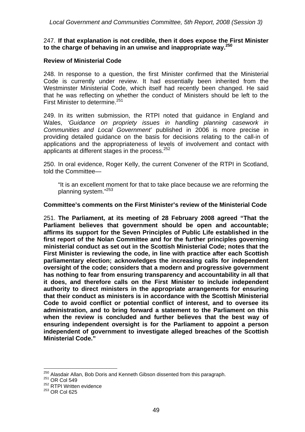#### 247. **If that explanation is not credible, then it does expose the First Minister to the charge of behaving in an unwise and inappropriate way.<sup>250</sup>**

#### **Review of Ministerial Code**

248. In response to a question, the first Minister confirmed that the Ministerial Code is currently under review. It had essentially been inherited from the Westminster Ministerial Code, which itself had recently been changed. He said that he was reflecting on whether the conduct of Ministers should be left to the First Minister to determine.<sup>251</sup>

249. In its written submission, the RTPI noted that guidance in England and Wales, *'Guidance on propriety issues in handling planning casework in Communities and Local Government'* published in 2006 is more precise in providing detailed guidance on the basis for decisions relating to the call-in of applications and the appropriateness of levels of involvement and contact with applicants at different stages in the process.  $252$ 

250. In oral evidence, Roger Kelly, the current Convener of the RTPI in Scotland, told the Committee—

"It is an excellent moment for that to take place because we are reforming the planning system."253

#### **Committee's comments on the First Minister's review of the Ministerial Code**

251. **The Parliament, at its meeting of 28 February 2008 agreed "That the Parliament believes that government should be open and accountable; affirms its support for the Seven Principles of Public Life established in the first report of the Nolan Committee and for the further principles governing ministerial conduct as set out in the Scottish Ministerial Code; notes that the First Minister is reviewing the code, in line with practice after each Scottish parliamentary election; acknowledges the increasing calls for independent oversight of the code; considers that a modern and progressive government has nothing to fear from ensuring transparency and accountability in all that it does, and therefore calls on the First Minister to include independent authority to direct ministers in the appropriate arrangements for ensuring that their conduct as ministers is in accordance with the Scottish Ministerial Code to avoid conflict or potential conflict of interest, and to oversee its administration, and to bring forward a statement to the Parliament on this when the review is concluded and further believes that the best way of ensuring independent oversight is for the Parliament to appoint a person independent of government to investigate alleged breaches of the Scottish Ministerial Code."** 

<sup>&</sup>lt;sup>250</sup> Alasdair Allan, Bob Doris and Kenneth Gibson dissented from this paragraph.<br><sup>251</sup> OR Col 549

 $251$  OR Col 549<br> $252$  RTPI Written evidence

<sup>253</sup> OR Col 625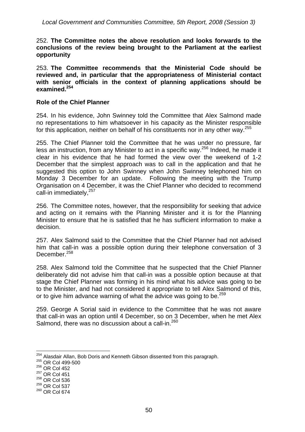252. **The Committee notes the above resolution and looks forwards to the conclusions of the review being brought to the Parliament at the earliest opportunity** 

253. **The Committee recommends that the Ministerial Code should be reviewed and, in particular that the appropriateness of Ministerial contact with senior officials in the context of planning applications should be examined.<sup>254</sup>**

#### **Role of the Chief Planner**

254. In his evidence, John Swinney told the Committee that Alex Salmond made no representations to him whatsoever in his capacity as the Minister responsible for this application, neither on behalf of his constituents nor in any other way.<sup>255</sup>

255. The Chief Planner told the Committee that he was under no pressure, far less an instruction, from any Minister to act in a specific way.<sup>256</sup> Indeed, he made it clear in his evidence that he had formed the view over the weekend of 1-2 December that the simplest approach was to call in the application and that he suggested this option to John Swinney when John Swinney telephoned him on Monday 3 December for an update. Following the meeting with the Trump Organisation on 4 December, it was the Chief Planner who decided to recommend call-in immediately, <sup>257</sup>

256. The Committee notes, however, that the responsibility for seeking that advice and acting on it remains with the Planning Minister and it is for the Planning Minister to ensure that he is satisfied that he has sufficient information to make a decision.

257. Alex Salmond said to the Committee that the Chief Planner had not advised him that call-in was a possible option during their telephone conversation of 3 December.<sup>258</sup>

258. Alex Salmond told the Committee that he suspected that the Chief Planner deliberately did not advise him that call-in was a possible option because at that stage the Chief Planner was forming in his mind what his advice was going to be to the Minister, and had not considered it appropriate to tell Alex Salmond of this, or to give him advance warning of what the advice was going to be.<sup>259</sup>

259. George A Sorial said in evidence to the Committee that he was not aware that call-in was an option until 4 December, so on 3 December, when he met Alex Salmond, there was no discussion about a call-in.<sup>260</sup>

<sup>&</sup>lt;sup>254</sup> Alasdair Allan, Bob Doris and Kenneth Gibson dissented from this paragraph.<br><sup>255</sup> OR Col 499-500

 $^{255}$  OR Col 499-500<br> $^{256}$  OR Col 452

<sup>257</sup> OR Col 451

<sup>258</sup> OR Col 536

<sup>259</sup> OR Col 537

<sup>260</sup> OR Col 674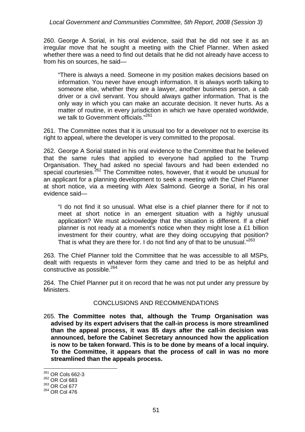#### *Local Government and Communities Committee, 5th Report, 2008 (Session 3)*

260. George A Sorial, in his oral evidence, said that he did not see it as an irregular move that he sought a meeting with the Chief Planner. When asked whether there was a need to find out details that he did not already have access to from his on sources, he said—

"There is always a need. Someone in my position makes decisions based on information. You never have enough information. It is always worth talking to someone else, whether they are a lawyer, another business person, a cab driver or a civil servant. You should always gather information. That is the only way in which you can make an accurate decision. It never hurts. As a matter of routine, in every jurisdiction in which we have operated worldwide, we talk to Government officials."<sup>261</sup>

261. The Committee notes that it is unusual too for a developer not to exercise its right to appeal, where the developer is very committed to the proposal.

262. George A Sorial stated in his oral evidence to the Committee that he believed that the same rules that applied to everyone had applied to the Trump Organisation. They had asked no special favours and had been extended no special courtesies. $^{262}$  The Committee notes, however, that it would be unusual for an applicant for a planning development to seek a meeting with the Chief Planner at short notice, via a meeting with Alex Salmond. George a Sorial, in his oral evidence said—

"I do not find it so unusual. What else is a chief planner there for if not to meet at short notice in an emergent situation with a highly unusual application? We must acknowledge that the situation is different. If a chief planner is not ready at a moment's notice when they might lose a £1 billion investment for their country, what are they doing occupying that position? That is what they are there for. I do not find any of that to be unusual."<sup>263</sup>

263. The Chief Planner told the Committee that he was accessible to all MSPs, dealt with requests in whatever form they came and tried to be as helpful and constructive as possible.<sup>264</sup>

264. The Chief Planner put it on record that he was not put under any pressure by Ministers.

#### CONCLUSIONS AND RECOMMENDATIONS

265. **The Committee notes that, although the Trump Organisation was advised by its expert advisers that the call-in process is more streamlined than the appeal process, it was 85 days after the call-in decision was announced, before the Cabinet Secretary announced how the application is now to be taken forward. This is to be done by means of a local inquiry. To the Committee, it appears that the process of call in was no more streamlined than the appeals process.** 

<sup>&</sup>lt;sup>261</sup> OR Cols 662-3

<sup>262</sup> OR Col 683

<sup>263</sup> OR Col 677

<sup>264</sup> OR Col 476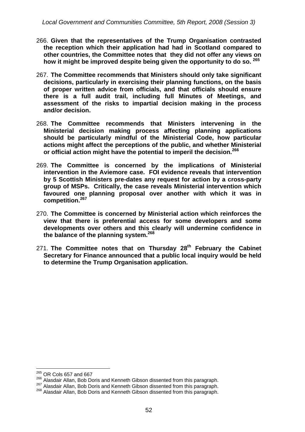- 266. **Given that the representatives of the Trump Organisation contrasted the reception which their application had had in Scotland compared to other countries, the Committee notes that they did not offer any views on how it might be improved despite being given the opportunity to do so. 265**
- 267. **The Committee recommends that Ministers should only take significant decisions, particularly in exercising their planning functions, on the basis of proper written advice from officials, and that officials should ensure there is a full audit trail, including full Minutes of Meetings, and assessment of the risks to impartial decision making in the process and/or decision.**
- 268. **The Committee recommends that Ministers intervening in the Ministerial decision making process affecting planning applications should be particularly mindful of the Ministerial Code, how particular actions might affect the perceptions of the public, and whether Ministerial or official action might have the potential to imperil the decision.<sup>266</sup>**
- 269. **The Committee is concerned by the implications of Ministerial intervention in the Aviemore case. FOI evidence reveals that intervention by 5 Scottish Ministers pre-dates any request for action by a cross-party group of MSPs. Critically, the case reveals Ministerial intervention which favoured one planning proposal over another with which it was in competition.<sup>267</sup>**
- 270. **The Committee is concerned by Ministerial action which reinforces the view that there is preferential access for some developers and some developments over others and this clearly will undermine confidence in the balance of the planning system.268**
- 271. The Committee notes that on Thursday 28<sup>th</sup> February the Cabinet **Secretary for Finance announced that a public local inquiry would be held to determine the Trump Organisation application.**

 $^{265}$  OR Cols 657 and 667

<sup>&</sup>lt;sup>266</sup> Alasdair Allan, Bob Doris and Kenneth Gibson dissented from this paragraph.<br><sup>267</sup> Alasdair Allan, Bob Doris and Kenneth Gibson dissented from this paragraph.<br><sup>268</sup> Alasdair Allan, Bob Doris and Kenneth Gibson dissent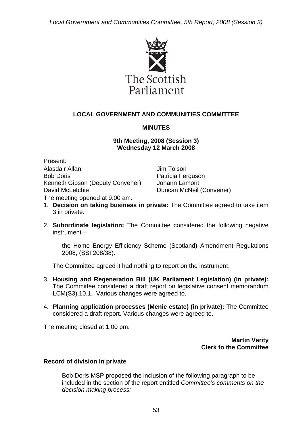

## **LOCAL GOVERNMENT AND COMMUNITIES COMMITTEE**

## **MINUTES**

## **9th Meeting, 2008 (Session 3) Wednesday 12 March 2008**

Present: Alasdair Allan Bob Doris Kenneth Gibson (Deputy Convener) David McLetchie The meeting opened at 9.00 am.

Jim Tolson Patricia Ferguson Johann Lamont Duncan McNeil (Convener)

- 1. **Decision on taking business in private:** The Committee agreed to take item 3 in private.
- 2. **Subordinate legislation:** The Committee considered the following negative instrument—

the Home Energy Efficiency Scheme (Scotland) Amendment Regulations 2008, (SSI 208/38).

The Committee agreed it had nothing to report on the instrument.

- 3. **Housing and Regeneration Bill (UK Parliament Legislation) (in private):**  The Committee considered a draft report on legislative consent memorandum LCM(S3) 10.1. Various changes were agreed to.
- 4. **Planning application processes (Menie estate) (in private):** The Committee considered a draft report. Various changes were agreed to.

The meeting closed at 1.00 pm.

**Martin Verity Clerk to the Committee** 

#### **Record of division in private**

Bob Doris MSP proposed the inclusion of the following paragraph to be included in the section of the report entitled *Committee's comments on the decision making process:*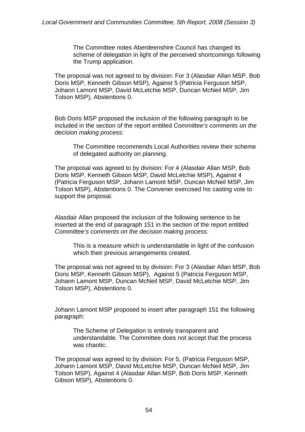The Committee notes Aberdeenshire Council has changed its scheme of delegation in light of the perceived shortcomings following the Trump application.

The proposal was not agreed to by division: For 3 (Alasdair Allan MSP, Bob Doris MSP, Kenneth Gibson MSP), Against 5 (Patricia Ferguson MSP, Johann Lamont MSP, David McLetchie MSP, Duncan McNeil MSP, Jim Tolson MSP), Abstentions 0.

Bob Doris MSP proposed the inclusion of the following paragraph to be included in the section of the report entitled *Committee's comments on the decision making process:* 

The Committee recommends Local Authorities review their scheme of delegated authority on planning.

The proposal was agreed to by division: For 4 (Alasdair Allan MSP, Bob Doris MSP, Kenneth Gibson MSP, David McLetchie MSP), Against 4 (Patricia Ferguson MSP, Johann Lamont MSP, Duncan McNeil MSP, Jim Tolson MSP), Abstentions 0. The Convener exercised his casting vote to support the proposal.

Alasdair Allan proposed the inclusion of the following sentence to be inserted at the end of paragraph 151 in the section of the report entitled *Committee's comments on the decision making process:* 

This is a measure which is understandable in light of the confusion which their previous arrangements created.

The proposal was not agreed to by division: For 3 (Alasdair Allan MSP, Bob Doris MSP, Kenneth Gibson MSP), Against 5 (Patricia Ferguson MSP, Johann Lamont MSP, Duncan McNeil MSP, David McLetchie MSP, Jim Tolson MSP), Abstentions 0.

Johann Lamont MSP proposed to insert after paragraph 151 the following paragraph:

The Scheme of Delegation is entirely transparent and understandable. The Committee does not accept that the process was chaotic.

The proposal was agreed to by division: For 5, (Patricia Ferguson MSP, Johann Lamont MSP, David McLetchie MSP, Duncan McNeil MSP, Jim Tolson MSP), Against 4 (Alasdair Allan MSP, Bob Doris MSP, Kenneth Gibson MSP), Abstentions 0.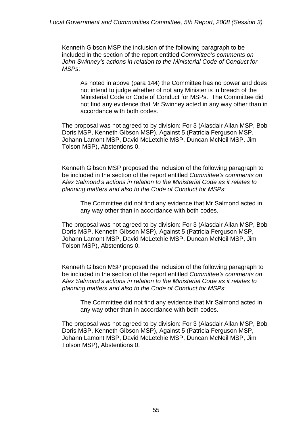Kenneth Gibson MSP the inclusion of the following paragraph to be included in the section of the report entitled *Committee's comments on John Swinney's actions in relation to the Ministerial Code of Conduct for MSPs*:

As noted in above (para 144) the Committee has no power and does not intend to judge whether of not any Minister is in breach of the Ministerial Code or Code of Conduct for MSPs. The Committee did not find any evidence that Mr Swinney acted in any way other than in accordance with both codes.

The proposal was not agreed to by division: For 3 (Alasdair Allan MSP, Bob Doris MSP, Kenneth Gibson MSP), Against 5 (Patricia Ferguson MSP, Johann Lamont MSP, David McLetchie MSP, Duncan McNeil MSP, Jim Tolson MSP), Abstentions 0.

Kenneth Gibson MSP proposed the inclusion of the following paragraph to be included in the section of the report entitled *Committee's comments on Alex Salmond's actions in relation to the Ministerial Code as it relates to planning matters and also to the Code of Conduct for MSPs*:

The Committee did not find any evidence that Mr Salmond acted in any way other than in accordance with both codes.

The proposal was not agreed to by division: For 3 (Alasdair Allan MSP, Bob Doris MSP, Kenneth Gibson MSP), Against 5 (Patricia Ferguson MSP, Johann Lamont MSP, David McLetchie MSP, Duncan McNeil MSP, Jim Tolson MSP), Abstentions 0.

Kenneth Gibson MSP proposed the inclusion of the following paragraph to be included in the section of the report entitled *Committee's comments on Alex Salmond's actions in relation to the Ministerial Code as it relates to planning matters and also to the Code of Conduct for MSPs*:

The Committee did not find any evidence that Mr Salmond acted in any way other than in accordance with both codes.

The proposal was not agreed to by division: For 3 (Alasdair Allan MSP, Bob Doris MSP, Kenneth Gibson MSP), Against 5 (Patricia Ferguson MSP, Johann Lamont MSP, David McLetchie MSP, Duncan McNeil MSP, Jim Tolson MSP), Abstentions 0.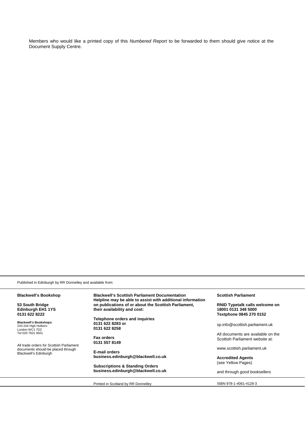Members who would like a printed copy of this *Numbered Report* to be forwarded to them should give notice at the Document Supply Centre.

Published in Edinburgh by RR Donnelley and available from:

| <b>Blackwell's Bookshop</b>                                                                                                                                                                             | <b>Blackwell's Scottish Parliament Documentation</b><br>Helpline may be able to assist with additional information | <b>Scottish Parliament</b>                                                              |
|---------------------------------------------------------------------------------------------------------------------------------------------------------------------------------------------------------|--------------------------------------------------------------------------------------------------------------------|-----------------------------------------------------------------------------------------|
| 53 South Bridge<br><b>Edinburgh EH1 1YS</b><br>0131 622 8222                                                                                                                                            | on publications of or about the Scottish Parliament,<br>their availability and cost:                               | <b>RNID Typetalk calls welcome on</b><br>18001 0131 348 5000<br>Textphone 0845 270 0152 |
| <b>Blackwell's Bookshops:</b><br>243-244 High Holborn<br>London WC1 7DZ<br>Tel 020 7831 9501<br>All trade orders for Scottish Parliament<br>documents should be placed through<br>Blackwell's Edinburgh | Telephone orders and inquiries<br>0131 622 8283 or<br>0131 622 8258                                                | sp.info@scottish.parliament.uk                                                          |
|                                                                                                                                                                                                         | <b>Fax orders</b><br>0131 557 8149                                                                                 | All documents are available on the<br>Scottish Parliament website at:                   |
|                                                                                                                                                                                                         | E-mail orders                                                                                                      | www.scottish.parliament.uk                                                              |
|                                                                                                                                                                                                         | business.edinburgh@blackwell.co.uk                                                                                 | <b>Accredited Agents</b><br>(see Yellow Pages)                                          |
|                                                                                                                                                                                                         | <b>Subscriptions &amp; Standing Orders</b><br>business.edinburgh@blackwell.co.uk                                   | and through good booksellers                                                            |

Printed in Scotland by RR Donnelley **ISBN 978-1-4061-4128-3**